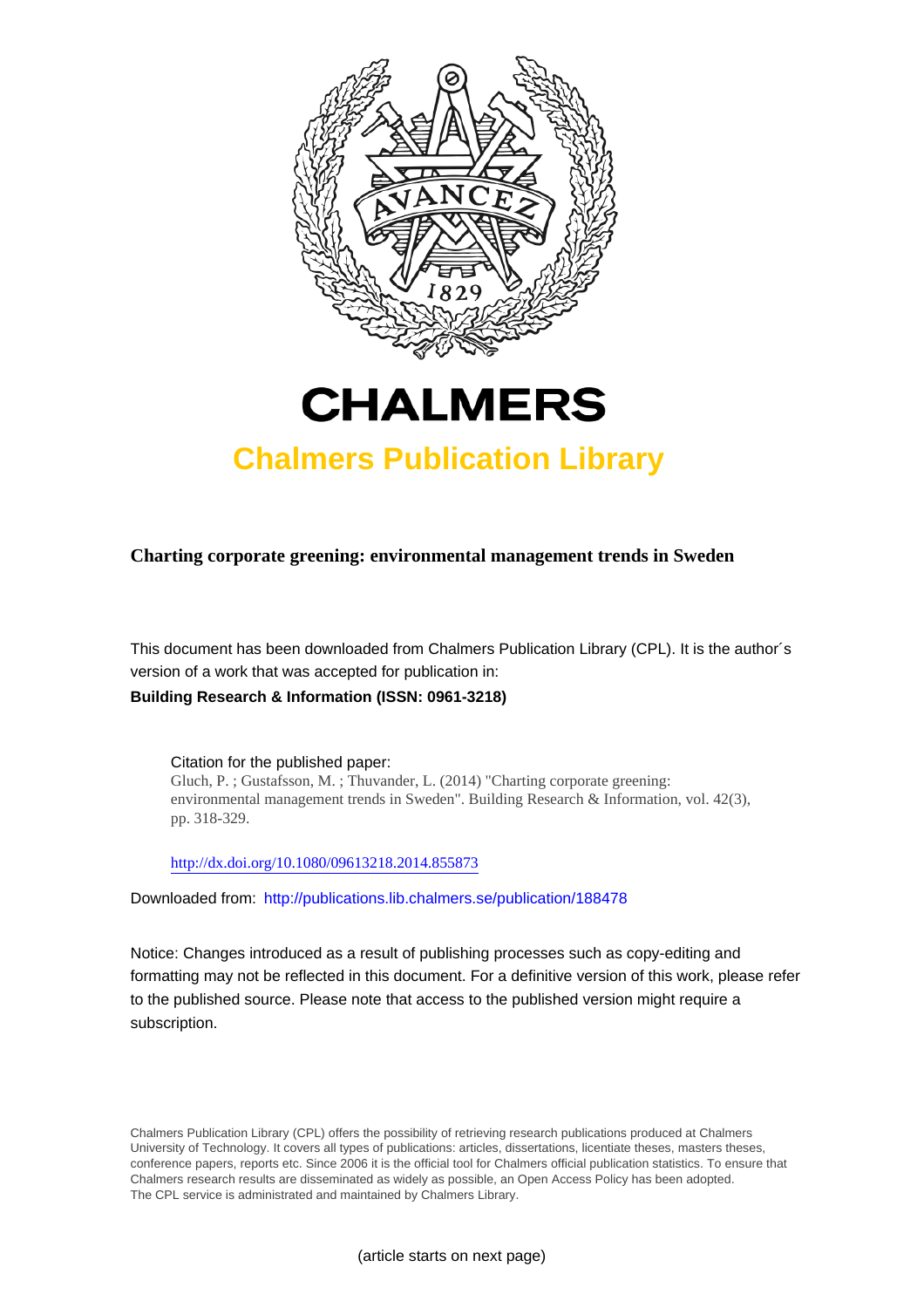



# **Chalmers Publication Library**

**Charting corporate greening: environmental management trends in Sweden**

This document has been downloaded from Chalmers Publication Library (CPL). It is the author´s version of a work that was accepted for publication in:

**Building Research & Information (ISSN: 0961-3218)**

Citation for the published paper: Gluch, P. ; Gustafsson, M. ; Thuvander, L. (2014) "Charting corporate greening: environmental management trends in Sweden". Building Research & Information, vol. 42(3), pp. 318-329.

<http://dx.doi.org/10.1080/09613218.2014.855873>

Downloaded from: <http://publications.lib.chalmers.se/publication/188478>

Notice: Changes introduced as a result of publishing processes such as copy-editing and formatting may not be reflected in this document. For a definitive version of this work, please refer to the published source. Please note that access to the published version might require a subscription.

Chalmers Publication Library (CPL) offers the possibility of retrieving research publications produced at Chalmers University of Technology. It covers all types of publications: articles, dissertations, licentiate theses, masters theses, conference papers, reports etc. Since 2006 it is the official tool for Chalmers official publication statistics. To ensure that Chalmers research results are disseminated as widely as possible, an Open Access Policy has been adopted. The CPL service is administrated and maintained by Chalmers Library.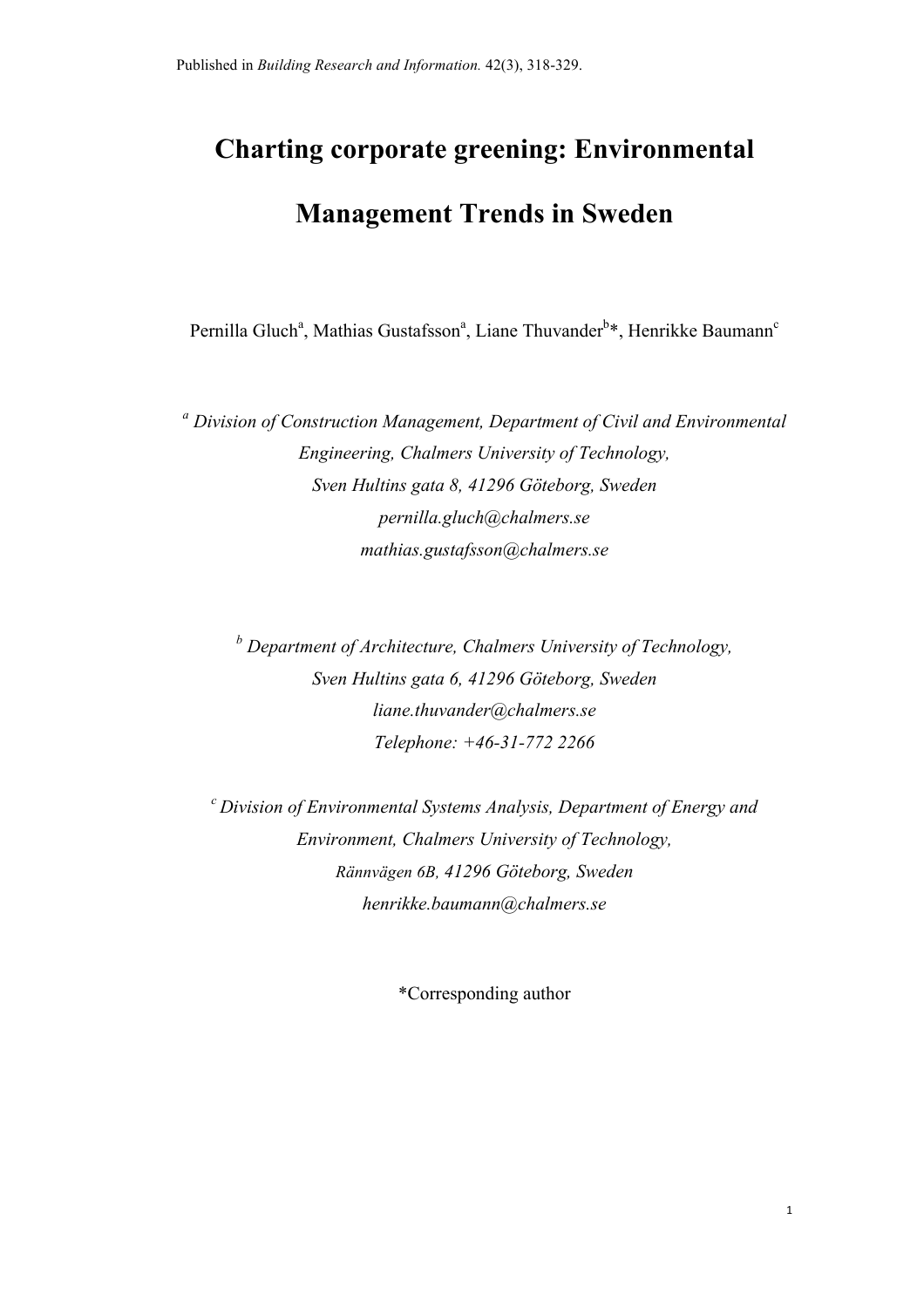# **Charting corporate greening: Environmental Management Trends in Sweden**

Pernilla Gluch<sup>a</sup>, Mathias Gustafsson<sup>a</sup>, Liane Thuvander<sup>b\*</sup>, Henrikke Baumann<sup>c</sup>

*<sup>a</sup> Division of Construction Management, Department of Civil and Environmental Engineering, Chalmers University of Technology, Sven Hultins gata 8, 41296 Göteborg, Sweden pernilla.gluch@chalmers.se mathias.gustafsson@chalmers.se*

*<sup>b</sup> Department of Architecture, Chalmers University of Technology, Sven Hultins gata 6, 41296 Göteborg, Sweden liane.thuvander@chalmers.se Telephone: +46-31-772 2266*

*c Division of Environmental Systems Analysis, Department of Energy and Environment, Chalmers University of Technology, Rännvägen 6B, 41296 Göteborg, Sweden henrikke.baumann@chalmers.se*

\*Corresponding author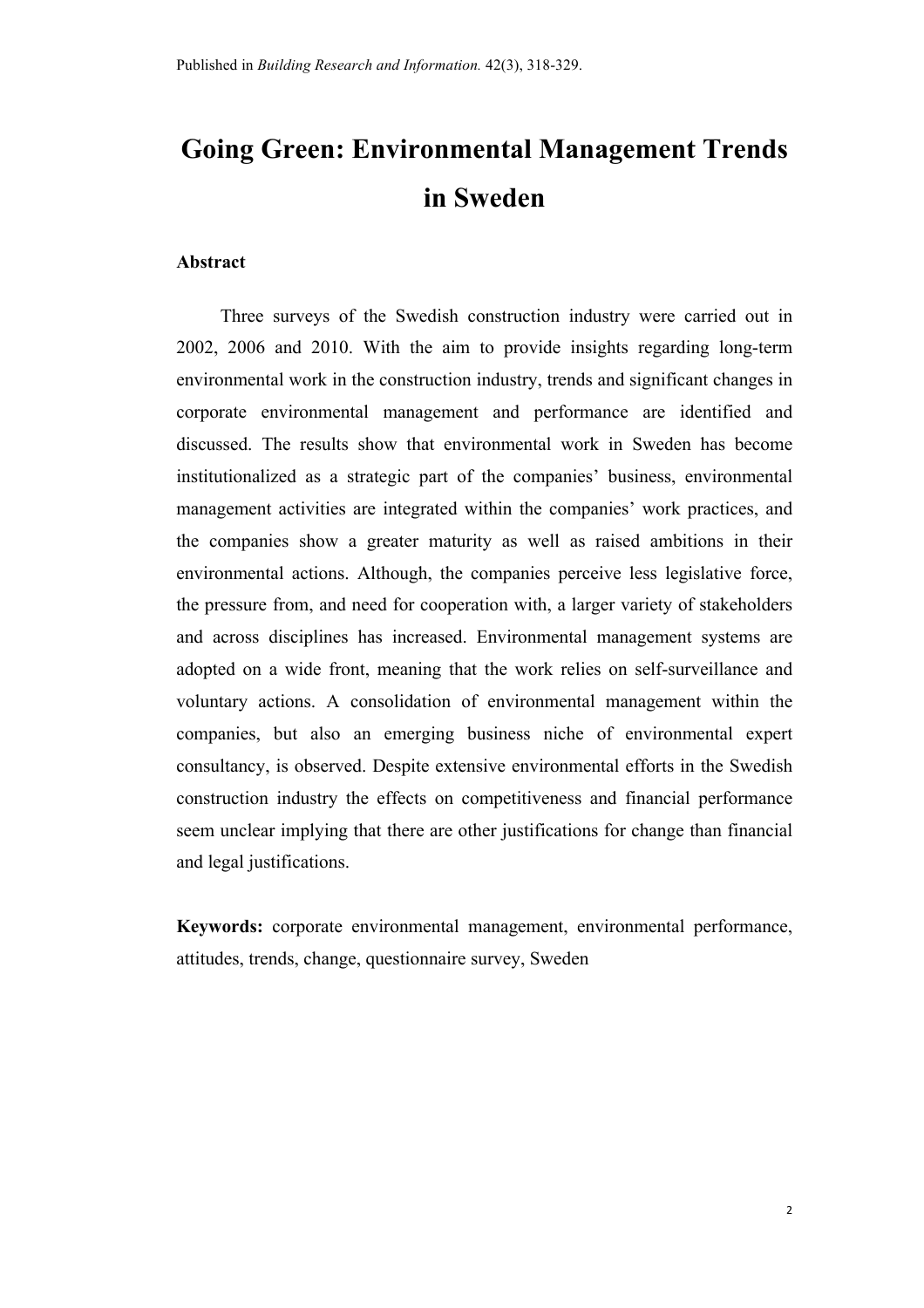# **Going Green: Environmental Management Trends in Sweden**

#### **Abstract**

Three surveys of the Swedish construction industry were carried out in 2002, 2006 and 2010. With the aim to provide insights regarding long-term environmental work in the construction industry, trends and significant changes in corporate environmental management and performance are identified and discussed. The results show that environmental work in Sweden has become institutionalized as a strategic part of the companies' business, environmental management activities are integrated within the companies' work practices, and the companies show a greater maturity as well as raised ambitions in their environmental actions. Although, the companies perceive less legislative force, the pressure from, and need for cooperation with, a larger variety of stakeholders and across disciplines has increased. Environmental management systems are adopted on a wide front, meaning that the work relies on self-surveillance and voluntary actions. A consolidation of environmental management within the companies, but also an emerging business niche of environmental expert consultancy, is observed. Despite extensive environmental efforts in the Swedish construction industry the effects on competitiveness and financial performance seem unclear implying that there are other justifications for change than financial and legal justifications.

**Keywords:** corporate environmental management, environmental performance, attitudes, trends, change, questionnaire survey, Sweden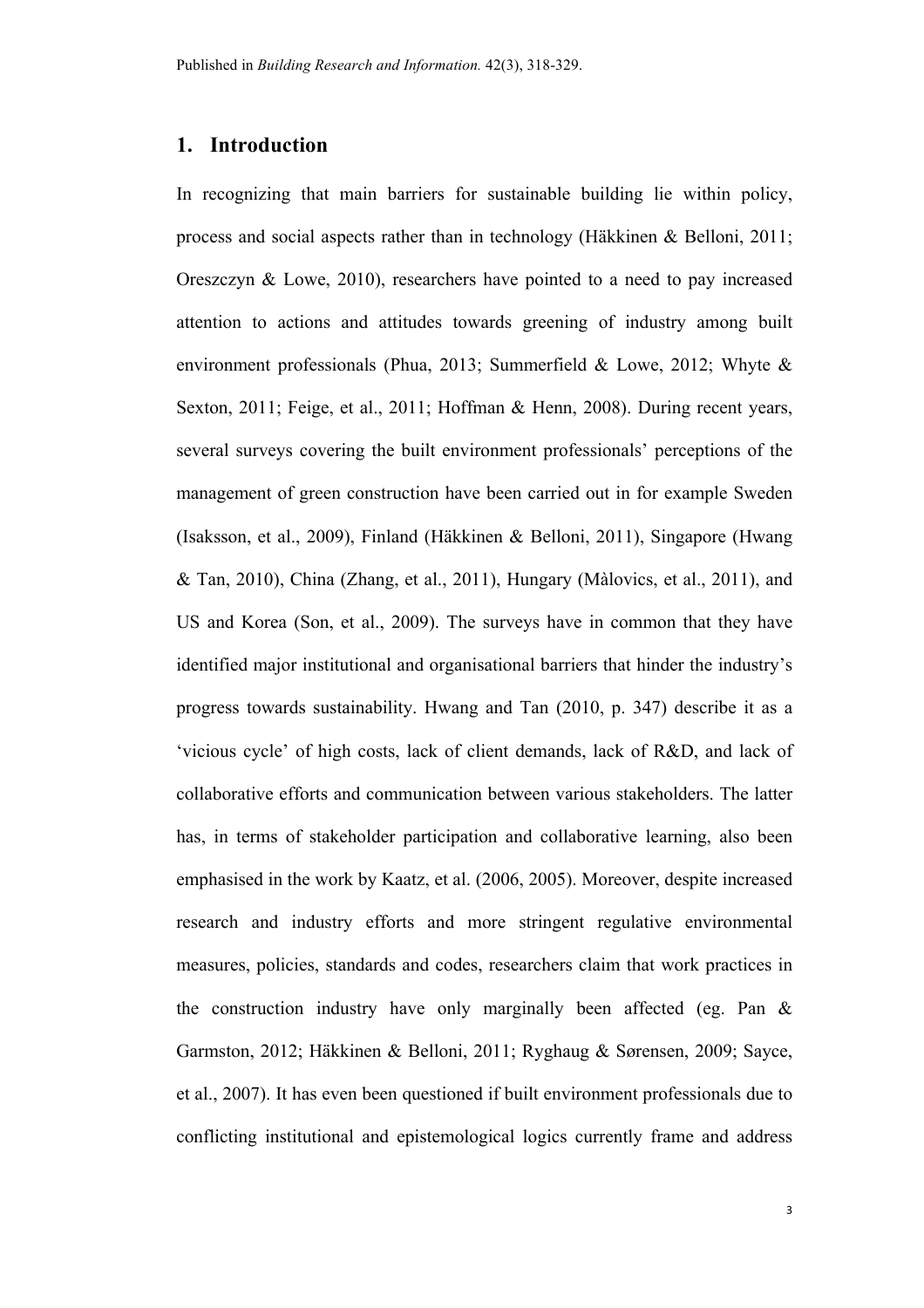# **1. Introduction**

In recognizing that main barriers for sustainable building lie within policy, process and social aspects rather than in technology (Häkkinen & Belloni, 2011; Oreszczyn & Lowe, 2010), researchers have pointed to a need to pay increased attention to actions and attitudes towards greening of industry among built environment professionals (Phua, 2013; Summerfield & Lowe, 2012; Whyte & Sexton, 2011; Feige, et al., 2011; Hoffman & Henn, 2008). During recent years, several surveys covering the built environment professionals' perceptions of the management of green construction have been carried out in for example Sweden (Isaksson, et al., 2009), Finland (Häkkinen & Belloni, 2011), Singapore (Hwang & Tan, 2010), China (Zhang, et al., 2011), Hungary (Màlovics, et al., 2011), and US and Korea (Son, et al., 2009). The surveys have in common that they have identified major institutional and organisational barriers that hinder the industry's progress towards sustainability. Hwang and Tan (2010, p. 347) describe it as a 'vicious cycle' of high costs, lack of client demands, lack of R&D, and lack of collaborative efforts and communication between various stakeholders. The latter has, in terms of stakeholder participation and collaborative learning, also been emphasised in the work by Kaatz, et al. (2006, 2005). Moreover, despite increased research and industry efforts and more stringent regulative environmental measures, policies, standards and codes, researchers claim that work practices in the construction industry have only marginally been affected (eg. Pan & Garmston, 2012; Häkkinen & Belloni, 2011; Ryghaug & Sørensen, 2009; Sayce, et al., 2007). It has even been questioned if built environment professionals due to conflicting institutional and epistemological logics currently frame and address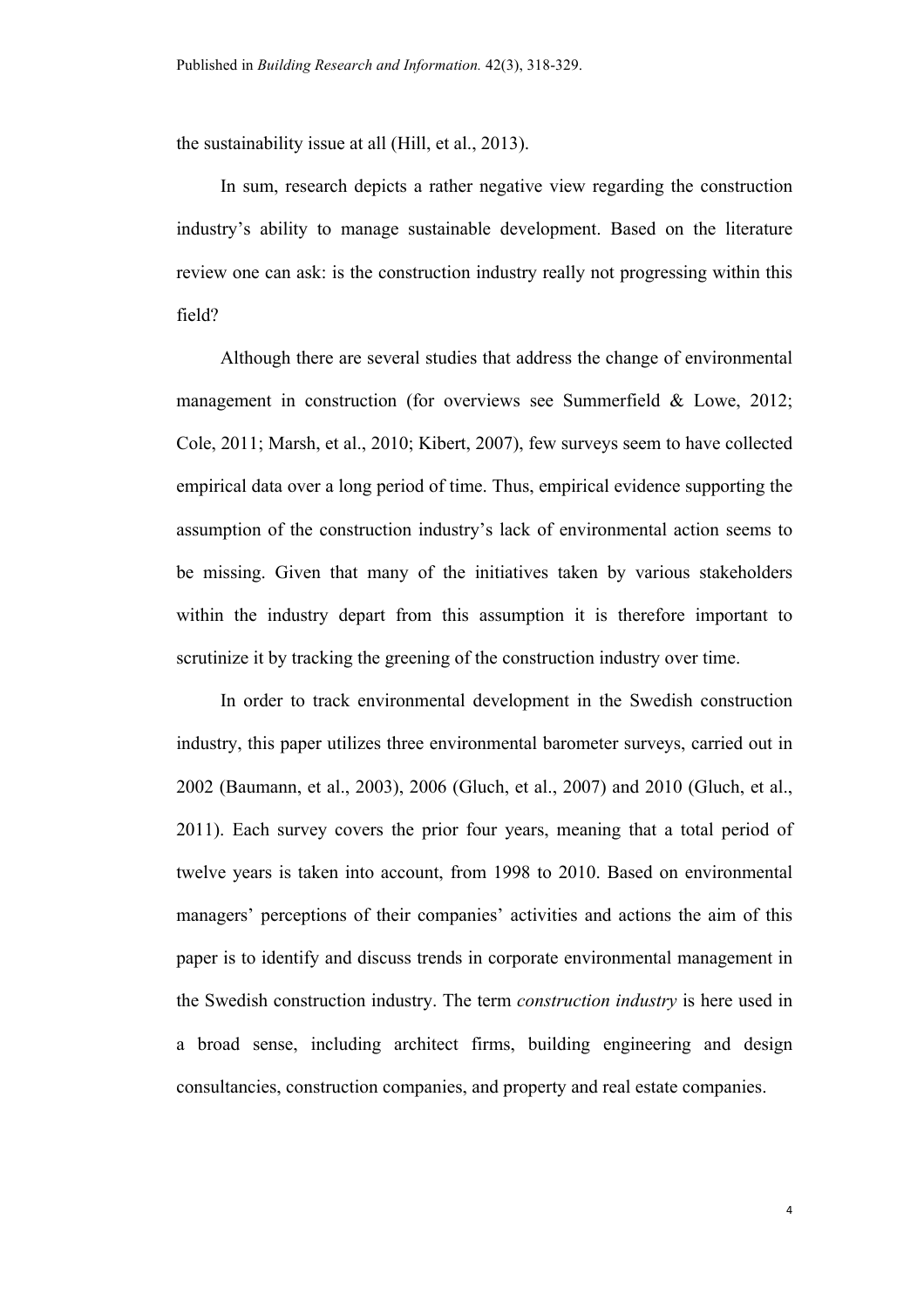the sustainability issue at all (Hill, et al., 2013).

In sum, research depicts a rather negative view regarding the construction industry's ability to manage sustainable development. Based on the literature review one can ask: is the construction industry really not progressing within this field?

Although there are several studies that address the change of environmental management in construction (for overviews see Summerfield & Lowe, 2012; Cole, 2011; Marsh, et al., 2010; Kibert, 2007), few surveys seem to have collected empirical data over a long period of time. Thus, empirical evidence supporting the assumption of the construction industry's lack of environmental action seems to be missing. Given that many of the initiatives taken by various stakeholders within the industry depart from this assumption it is therefore important to scrutinize it by tracking the greening of the construction industry over time.

In order to track environmental development in the Swedish construction industry, this paper utilizes three environmental barometer surveys, carried out in 2002 (Baumann, et al., 2003), 2006 (Gluch, et al., 2007) and 2010 (Gluch, et al., 2011). Each survey covers the prior four years, meaning that a total period of twelve years is taken into account, from 1998 to 2010. Based on environmental managers' perceptions of their companies' activities and actions the aim of this paper is to identify and discuss trends in corporate environmental management in the Swedish construction industry. The term *construction industry* is here used in a broad sense, including architect firms, building engineering and design consultancies, construction companies, and property and real estate companies.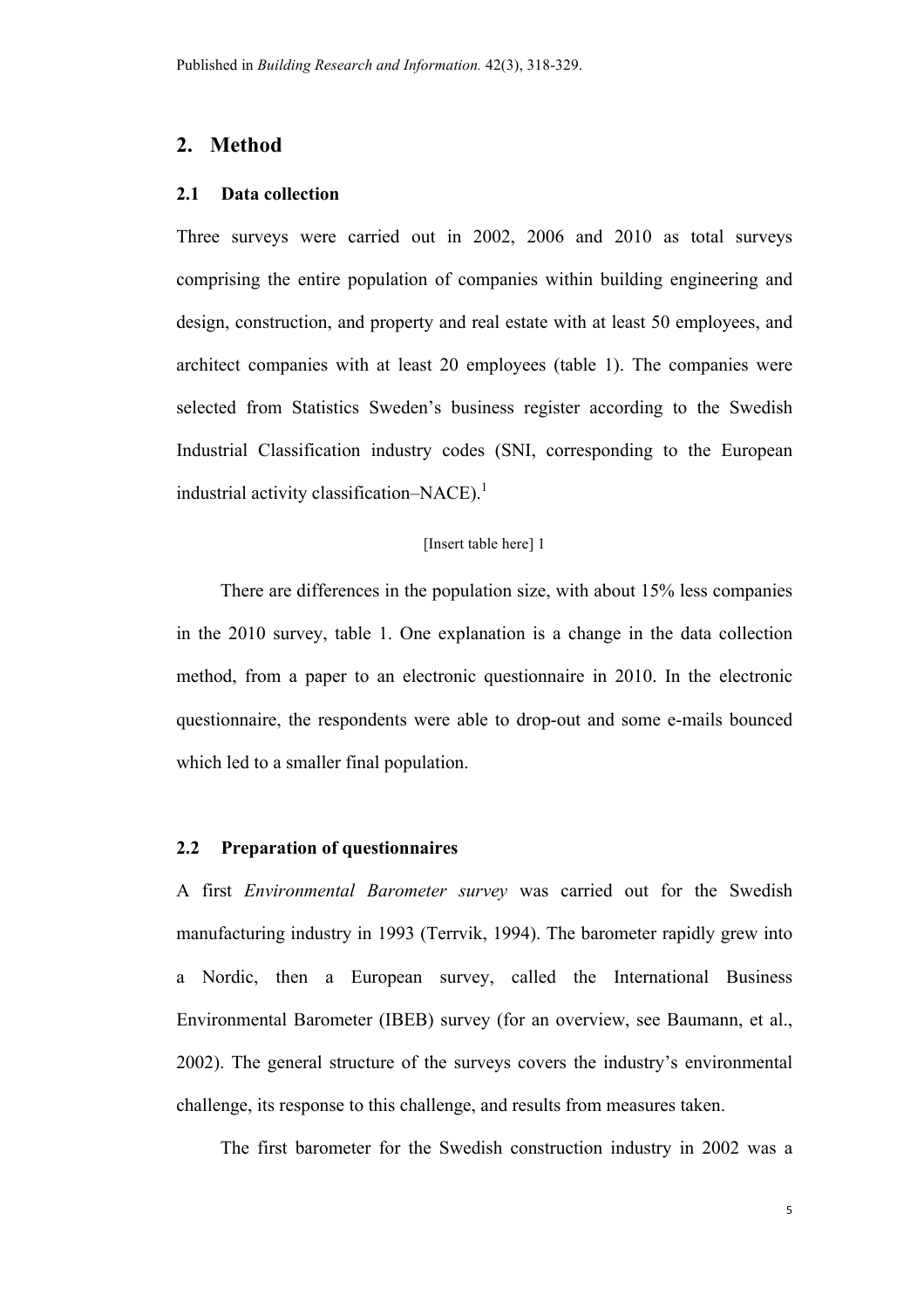# **2. Method**

#### **2.1 Data collection**

Three surveys were carried out in 2002, 2006 and 2010 as total surveys comprising the entire population of companies within building engineering and design, construction, and property and real estate with at least 50 employees, and architect companies with at least 20 employees (table 1). The companies were selected from Statistics Sweden's business register according to the Swedish Industrial Classification industry codes (SNI, corresponding to the European industrial activity classification–NACE).<sup>1</sup>

#### [Insert table here] 1

There are differences in the population size, with about 15% less companies in the 2010 survey, table 1. One explanation is a change in the data collection method, from a paper to an electronic questionnaire in 2010. In the electronic questionnaire, the respondents were able to drop-out and some e-mails bounced which led to a smaller final population.

# **2.2 Preparation of questionnaires**

A first *Environmental Barometer survey* was carried out for the Swedish manufacturing industry in 1993 (Terrvik, 1994). The barometer rapidly grew into a Nordic, then a European survey, called the International Business Environmental Barometer (IBEB) survey (for an overview, see Baumann, et al., 2002). The general structure of the surveys covers the industry's environmental challenge, its response to this challenge, and results from measures taken.

The first barometer for the Swedish construction industry in 2002 was a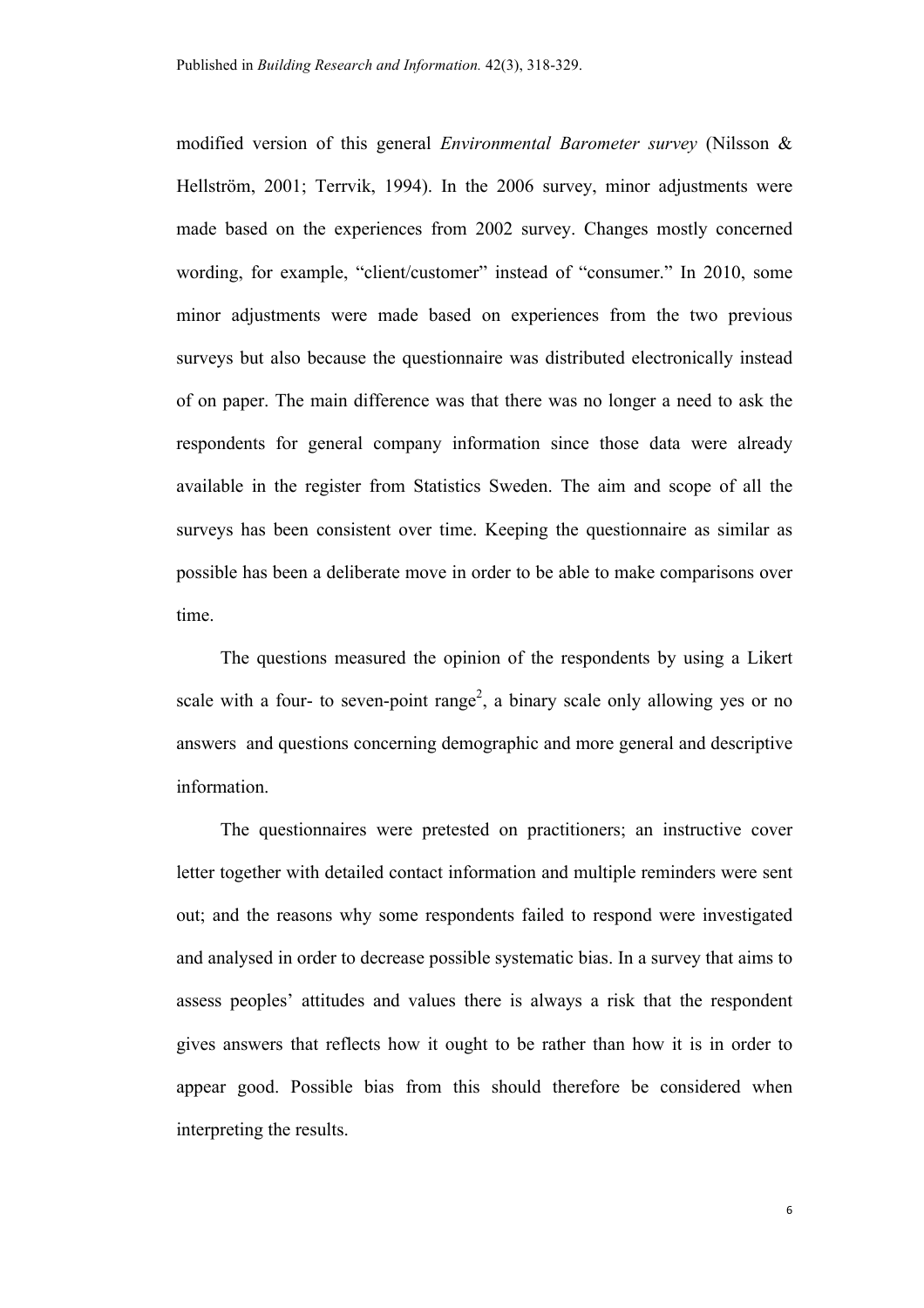modified version of this general *Environmental Barometer survey* (Nilsson & Hellström, 2001; Terrvik, 1994). In the 2006 survey, minor adjustments were made based on the experiences from 2002 survey. Changes mostly concerned wording, for example, "client/customer" instead of "consumer." In 2010, some minor adjustments were made based on experiences from the two previous surveys but also because the questionnaire was distributed electronically instead of on paper. The main difference was that there was no longer a need to ask the respondents for general company information since those data were already available in the register from Statistics Sweden. The aim and scope of all the surveys has been consistent over time. Keeping the questionnaire as similar as possible has been a deliberate move in order to be able to make comparisons over time.

The questions measured the opinion of the respondents by using a Likert scale with a four- to seven-point range<sup>2</sup>, a binary scale only allowing yes or no answers and questions concerning demographic and more general and descriptive information.

The questionnaires were pretested on practitioners; an instructive cover letter together with detailed contact information and multiple reminders were sent out; and the reasons why some respondents failed to respond were investigated and analysed in order to decrease possible systematic bias. In a survey that aims to assess peoples' attitudes and values there is always a risk that the respondent gives answers that reflects how it ought to be rather than how it is in order to appear good. Possible bias from this should therefore be considered when interpreting the results.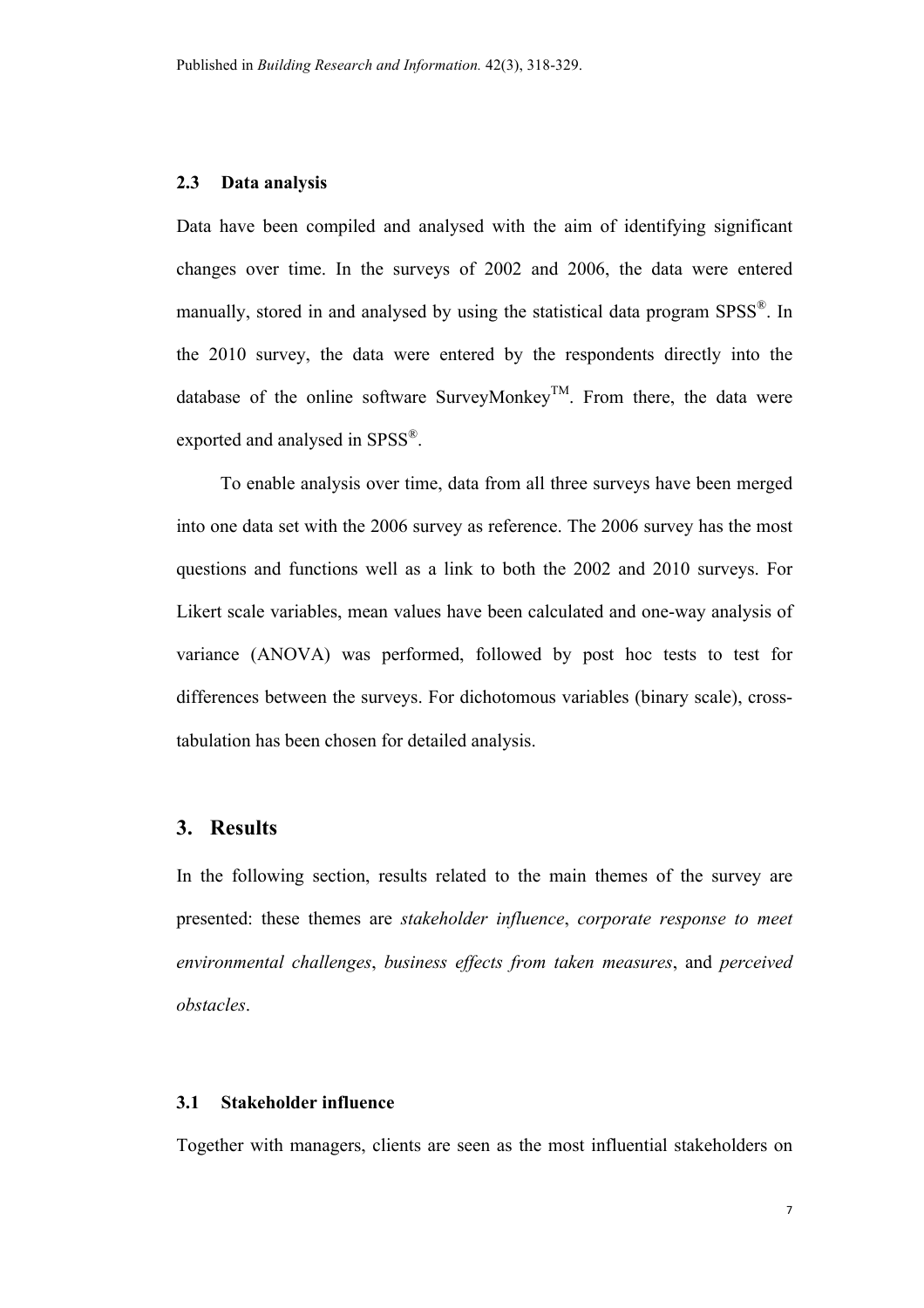#### **2.3 Data analysis**

Data have been compiled and analysed with the aim of identifying significant changes over time. In the surveys of 2002 and 2006, the data were entered manually, stored in and analysed by using the statistical data program SPSS®. In the 2010 survey, the data were entered by the respondents directly into the database of the online software SurveyMonkey<sup>TM</sup>. From there, the data were exported and analysed in SPSS®.

To enable analysis over time, data from all three surveys have been merged into one data set with the 2006 survey as reference. The 2006 survey has the most questions and functions well as a link to both the 2002 and 2010 surveys. For Likert scale variables, mean values have been calculated and one-way analysis of variance (ANOVA) was performed, followed by post hoc tests to test for differences between the surveys. For dichotomous variables (binary scale), crosstabulation has been chosen for detailed analysis.

# **3. Results**

In the following section, results related to the main themes of the survey are presented: these themes are *stakeholder influence*, *corporate response to meet environmental challenges*, *business effects from taken measures*, and *perceived obstacles*.

#### **3.1 Stakeholder influence**

Together with managers, clients are seen as the most influential stakeholders on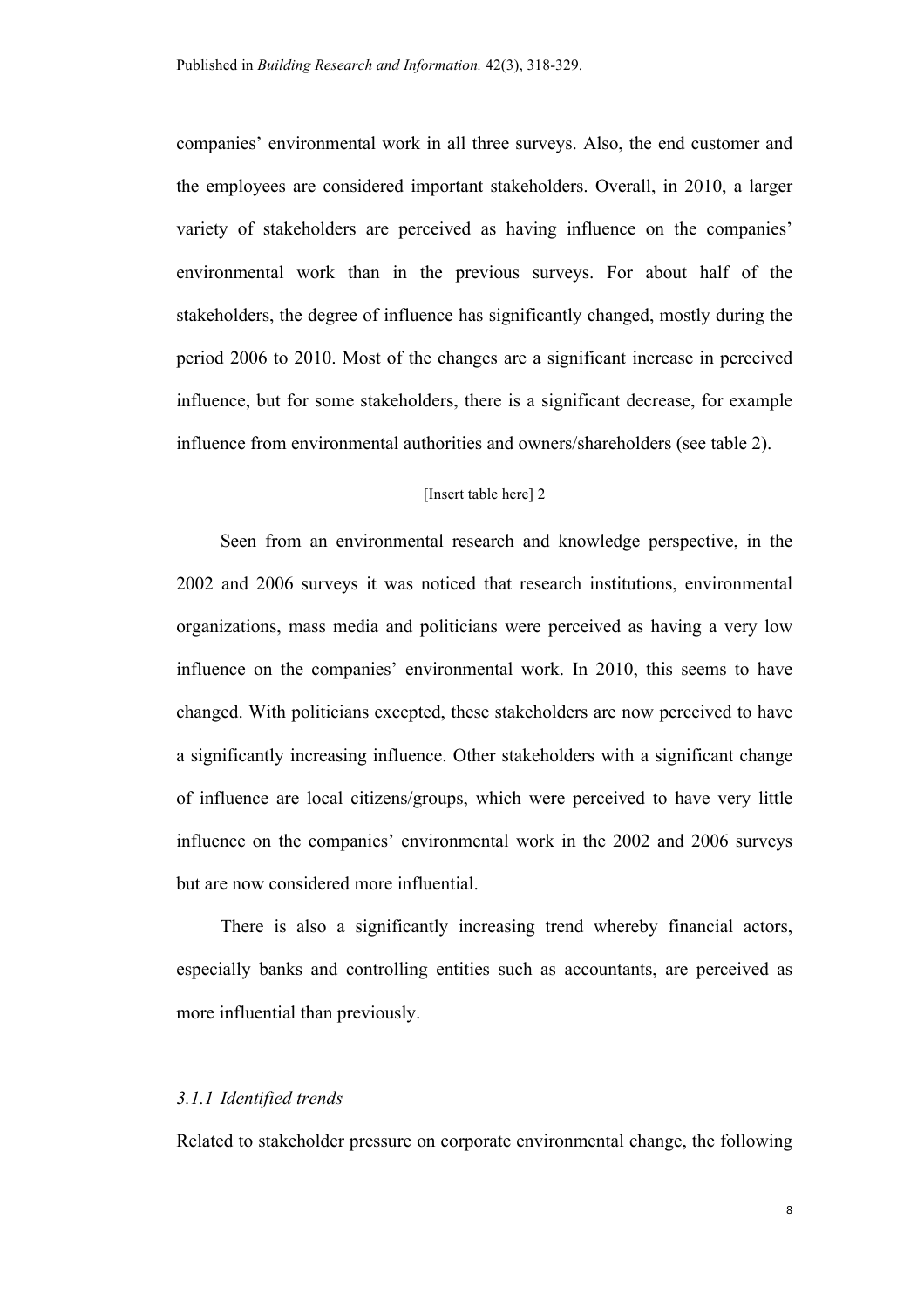companies' environmental work in all three surveys. Also, the end customer and the employees are considered important stakeholders. Overall, in 2010, a larger variety of stakeholders are perceived as having influence on the companies' environmental work than in the previous surveys. For about half of the stakeholders, the degree of influence has significantly changed, mostly during the period 2006 to 2010. Most of the changes are a significant increase in perceived influence, but for some stakeholders, there is a significant decrease, for example influence from environmental authorities and owners/shareholders (see table 2).

#### [Insert table here] 2

Seen from an environmental research and knowledge perspective, in the 2002 and 2006 surveys it was noticed that research institutions, environmental organizations, mass media and politicians were perceived as having a very low influence on the companies' environmental work. In 2010, this seems to have changed. With politicians excepted, these stakeholders are now perceived to have a significantly increasing influence. Other stakeholders with a significant change of influence are local citizens/groups, which were perceived to have very little influence on the companies' environmental work in the 2002 and 2006 surveys but are now considered more influential.

There is also a significantly increasing trend whereby financial actors, especially banks and controlling entities such as accountants, are perceived as more influential than previously.

# *3.1.1 Identified trends*

Related to stakeholder pressure on corporate environmental change, the following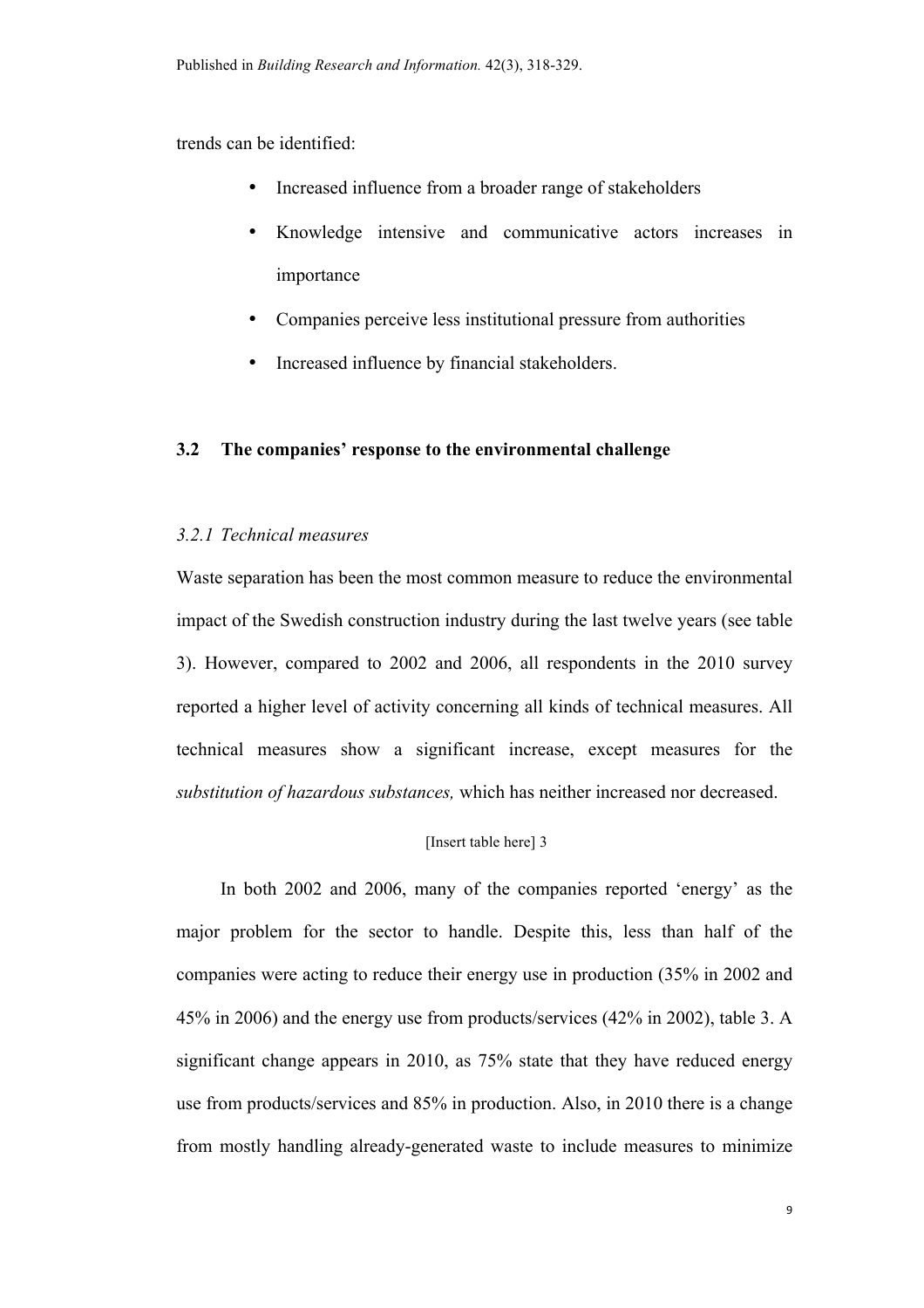trends can be identified:

- Increased influence from a broader range of stakeholders
- Knowledge intensive and communicative actors increases in importance
- Companies perceive less institutional pressure from authorities
- Increased influence by financial stakeholders.

#### **3.2 The companies' response to the environmental challenge**

# *3.2.1 Technical measures*

Waste separation has been the most common measure to reduce the environmental impact of the Swedish construction industry during the last twelve years (see table 3). However, compared to 2002 and 2006, all respondents in the 2010 survey reported a higher level of activity concerning all kinds of technical measures. All technical measures show a significant increase, except measures for the *substitution of hazardous substances,* which has neither increased nor decreased.

#### [Insert table here] 3

In both 2002 and 2006, many of the companies reported 'energy' as the major problem for the sector to handle. Despite this, less than half of the companies were acting to reduce their energy use in production (35% in 2002 and 45% in 2006) and the energy use from products/services (42% in 2002), table 3. A significant change appears in 2010, as 75% state that they have reduced energy use from products/services and 85% in production. Also, in 2010 there is a change from mostly handling already-generated waste to include measures to minimize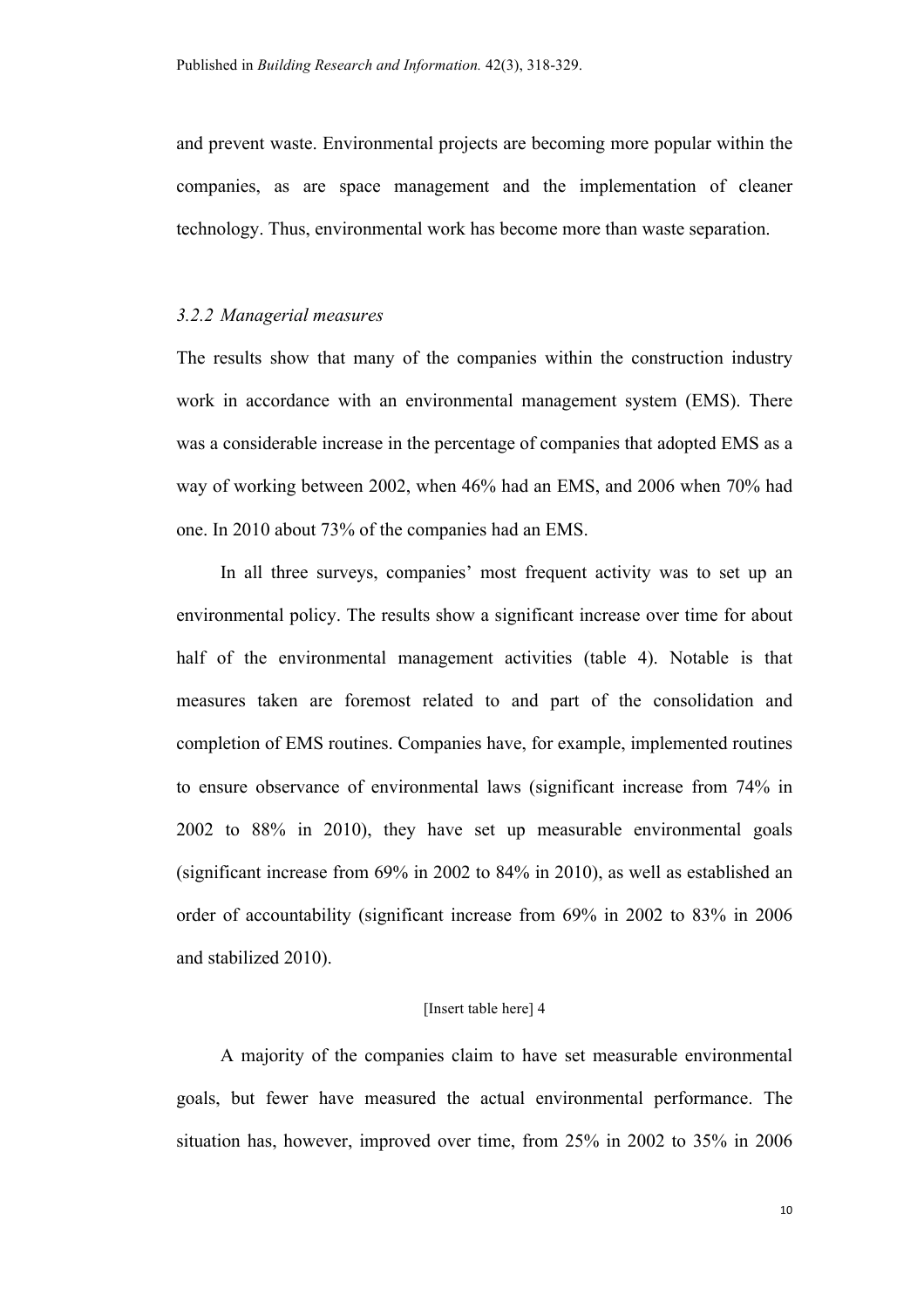and prevent waste. Environmental projects are becoming more popular within the companies, as are space management and the implementation of cleaner technology. Thus, environmental work has become more than waste separation.

#### *3.2.2 Managerial measures*

The results show that many of the companies within the construction industry work in accordance with an environmental management system (EMS). There was a considerable increase in the percentage of companies that adopted EMS as a way of working between 2002, when 46% had an EMS, and 2006 when 70% had one. In 2010 about 73% of the companies had an EMS.

In all three surveys, companies' most frequent activity was to set up an environmental policy. The results show a significant increase over time for about half of the environmental management activities (table 4). Notable is that measures taken are foremost related to and part of the consolidation and completion of EMS routines. Companies have, for example, implemented routines to ensure observance of environmental laws (significant increase from 74% in 2002 to 88% in 2010), they have set up measurable environmental goals (significant increase from 69% in 2002 to 84% in 2010), as well as established an order of accountability (significant increase from 69% in 2002 to 83% in 2006 and stabilized 2010).

#### [Insert table here] 4

A majority of the companies claim to have set measurable environmental goals, but fewer have measured the actual environmental performance. The situation has, however, improved over time, from 25% in 2002 to 35% in 2006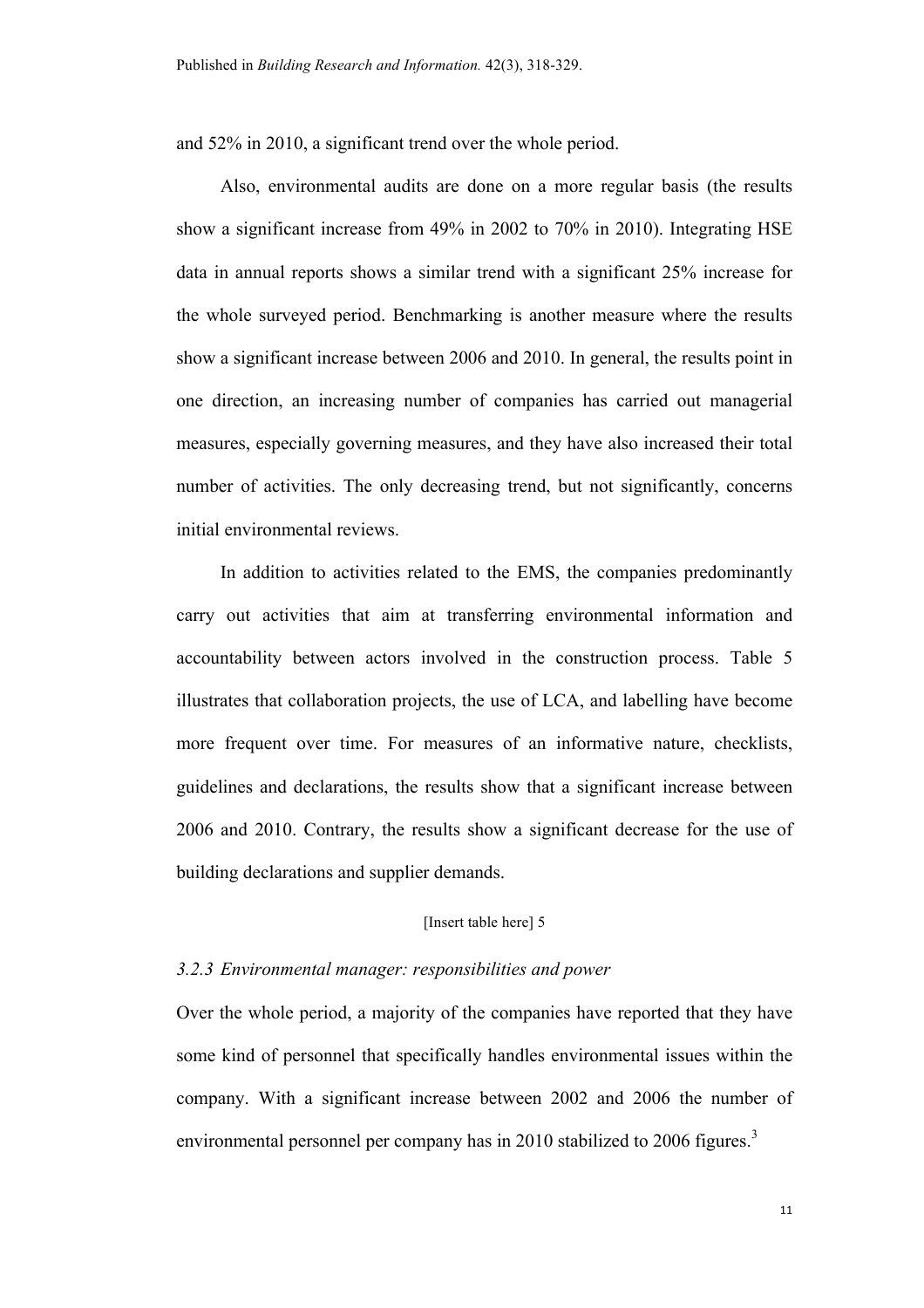and 52% in 2010, a significant trend over the whole period.

Also, environmental audits are done on a more regular basis (the results show a significant increase from 49% in 2002 to 70% in 2010). Integrating HSE data in annual reports shows a similar trend with a significant 25% increase for the whole surveyed period. Benchmarking is another measure where the results show a significant increase between 2006 and 2010. In general, the results point in one direction, an increasing number of companies has carried out managerial measures, especially governing measures, and they have also increased their total number of activities. The only decreasing trend, but not significantly, concerns initial environmental reviews.

In addition to activities related to the EMS, the companies predominantly carry out activities that aim at transferring environmental information and accountability between actors involved in the construction process. Table 5 illustrates that collaboration projects, the use of LCA, and labelling have become more frequent over time. For measures of an informative nature, checklists, guidelines and declarations, the results show that a significant increase between 2006 and 2010. Contrary, the results show a significant decrease for the use of building declarations and supplier demands.

#### [Insert table here] 5

#### *3.2.3 Environmental manager: responsibilities and power*

Over the whole period, a majority of the companies have reported that they have some kind of personnel that specifically handles environmental issues within the company. With a significant increase between 2002 and 2006 the number of environmental personnel per company has in 2010 stabilized to 2006 figures.<sup>3</sup>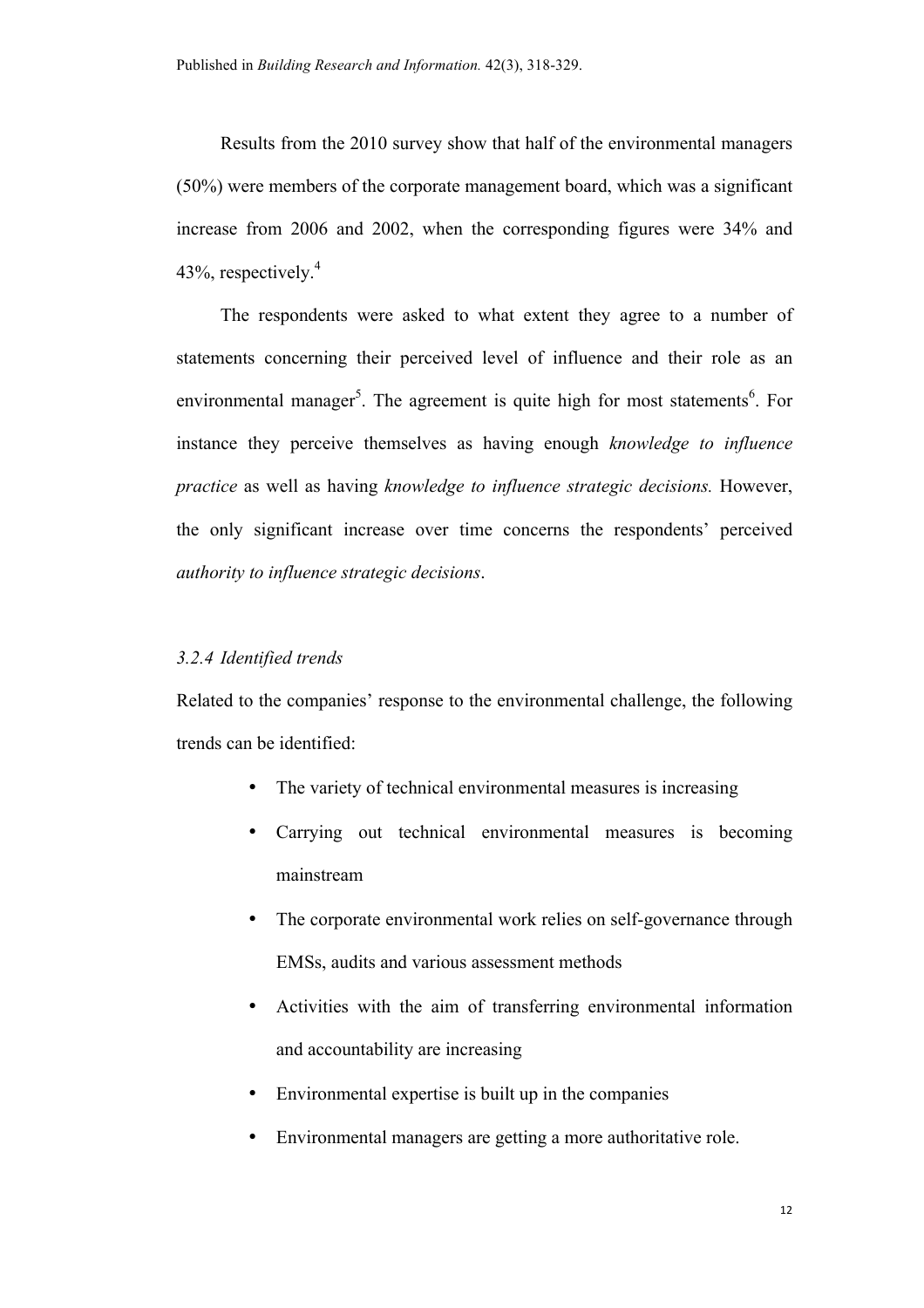Results from the 2010 survey show that half of the environmental managers (50%) were members of the corporate management board, which was a significant increase from 2006 and 2002, when the corresponding figures were 34% and 43%, respectively. $4$ 

The respondents were asked to what extent they agree to a number of statements concerning their perceived level of influence and their role as an environmental manager<sup>5</sup>. The agreement is quite high for most statements<sup>6</sup>. For instance they perceive themselves as having enough *knowledge to influence practice* as well as having *knowledge to influence strategic decisions.* However, the only significant increase over time concerns the respondents' perceived *authority to influence strategic decisions*.

#### *3.2.4 Identified trends*

Related to the companies' response to the environmental challenge, the following trends can be identified:

- The variety of technical environmental measures is increasing
- Carrying out technical environmental measures is becoming mainstream
- The corporate environmental work relies on self-governance through EMSs, audits and various assessment methods
- Activities with the aim of transferring environmental information and accountability are increasing
- Environmental expertise is built up in the companies
- Environmental managers are getting a more authoritative role.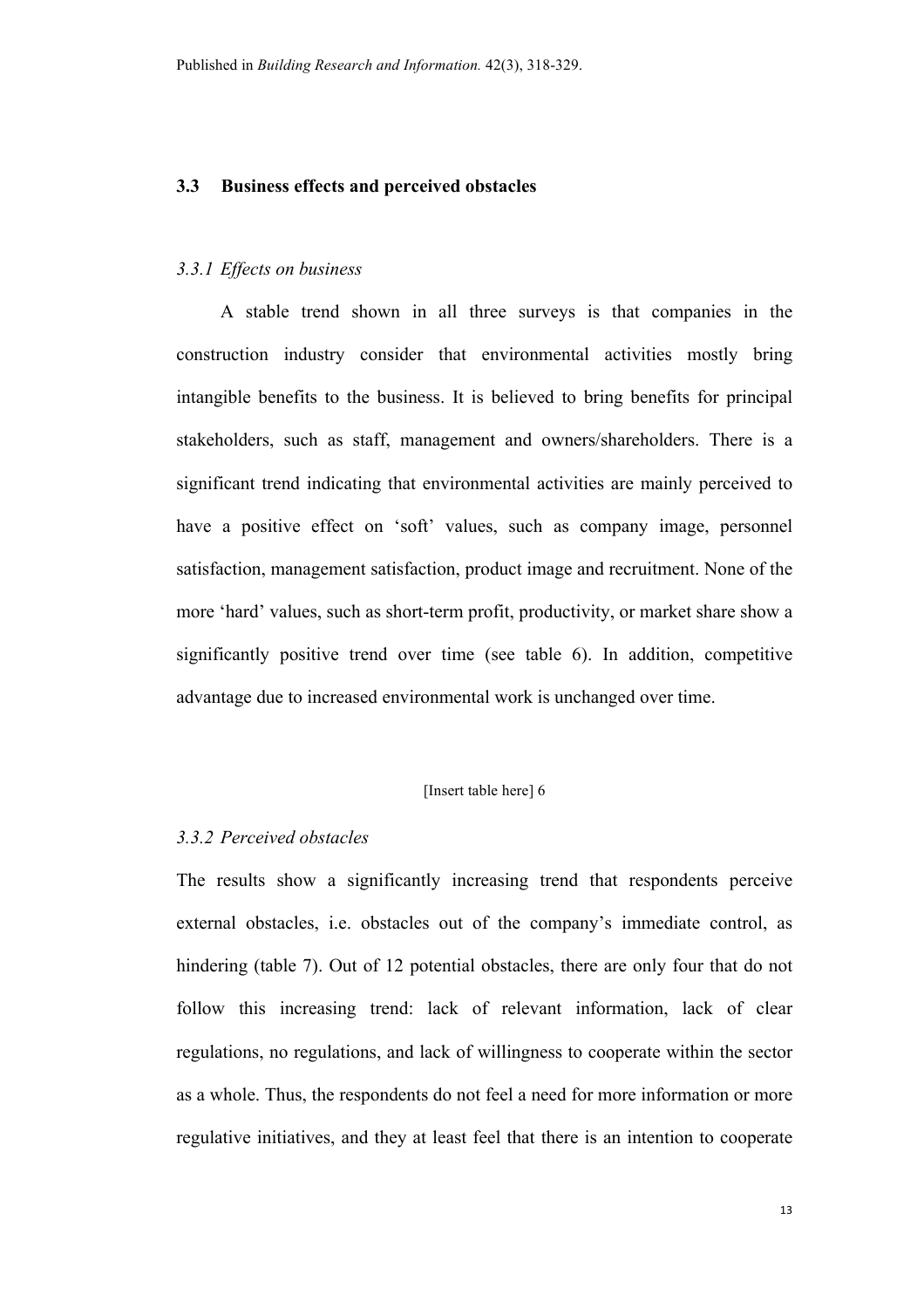#### **3.3 Business effects and perceived obstacles**

#### *3.3.1 Effects on business*

A stable trend shown in all three surveys is that companies in the construction industry consider that environmental activities mostly bring intangible benefits to the business. It is believed to bring benefits for principal stakeholders, such as staff, management and owners/shareholders. There is a significant trend indicating that environmental activities are mainly perceived to have a positive effect on 'soft' values, such as company image, personnel satisfaction, management satisfaction, product image and recruitment. None of the more 'hard' values, such as short-term profit, productivity, or market share show a significantly positive trend over time (see table 6). In addition, competitive advantage due to increased environmental work is unchanged over time.

#### [Insert table here] 6

#### *3.3.2 Perceived obstacles*

The results show a significantly increasing trend that respondents perceive external obstacles, i.e. obstacles out of the company's immediate control, as hindering (table 7). Out of 12 potential obstacles, there are only four that do not follow this increasing trend: lack of relevant information, lack of clear regulations, no regulations, and lack of willingness to cooperate within the sector as a whole. Thus, the respondents do not feel a need for more information or more regulative initiatives, and they at least feel that there is an intention to cooperate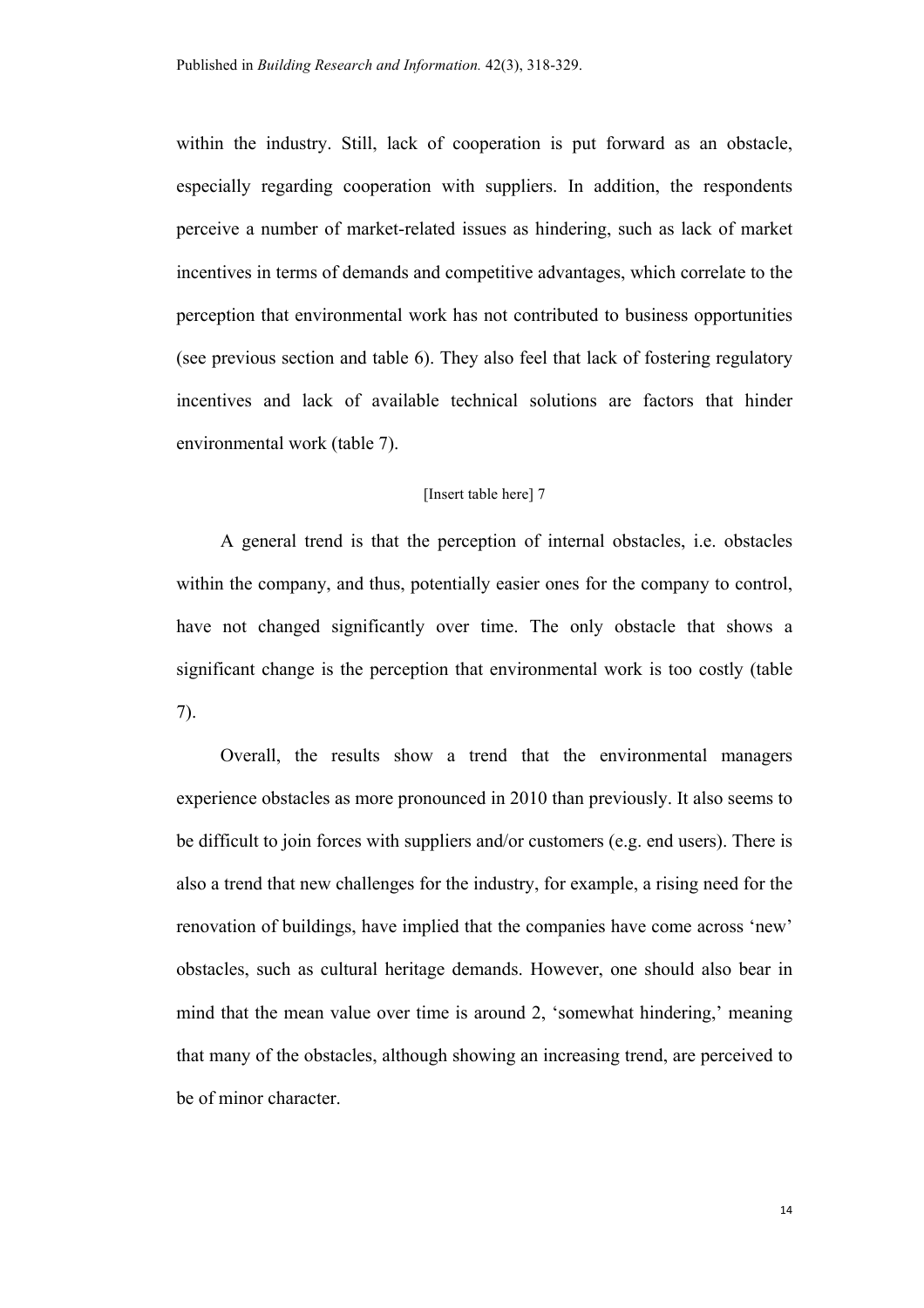within the industry. Still, lack of cooperation is put forward as an obstacle, especially regarding cooperation with suppliers. In addition, the respondents perceive a number of market-related issues as hindering, such as lack of market incentives in terms of demands and competitive advantages, which correlate to the perception that environmental work has not contributed to business opportunities (see previous section and table 6). They also feel that lack of fostering regulatory incentives and lack of available technical solutions are factors that hinder environmental work (table 7).

#### [Insert table here] 7

A general trend is that the perception of internal obstacles, i.e. obstacles within the company, and thus, potentially easier ones for the company to control, have not changed significantly over time. The only obstacle that shows a significant change is the perception that environmental work is too costly (table 7).

Overall, the results show a trend that the environmental managers experience obstacles as more pronounced in 2010 than previously. It also seems to be difficult to join forces with suppliers and/or customers (e.g. end users). There is also a trend that new challenges for the industry, for example, a rising need for the renovation of buildings, have implied that the companies have come across 'new' obstacles, such as cultural heritage demands. However, one should also bear in mind that the mean value over time is around 2, 'somewhat hindering,' meaning that many of the obstacles, although showing an increasing trend, are perceived to be of minor character.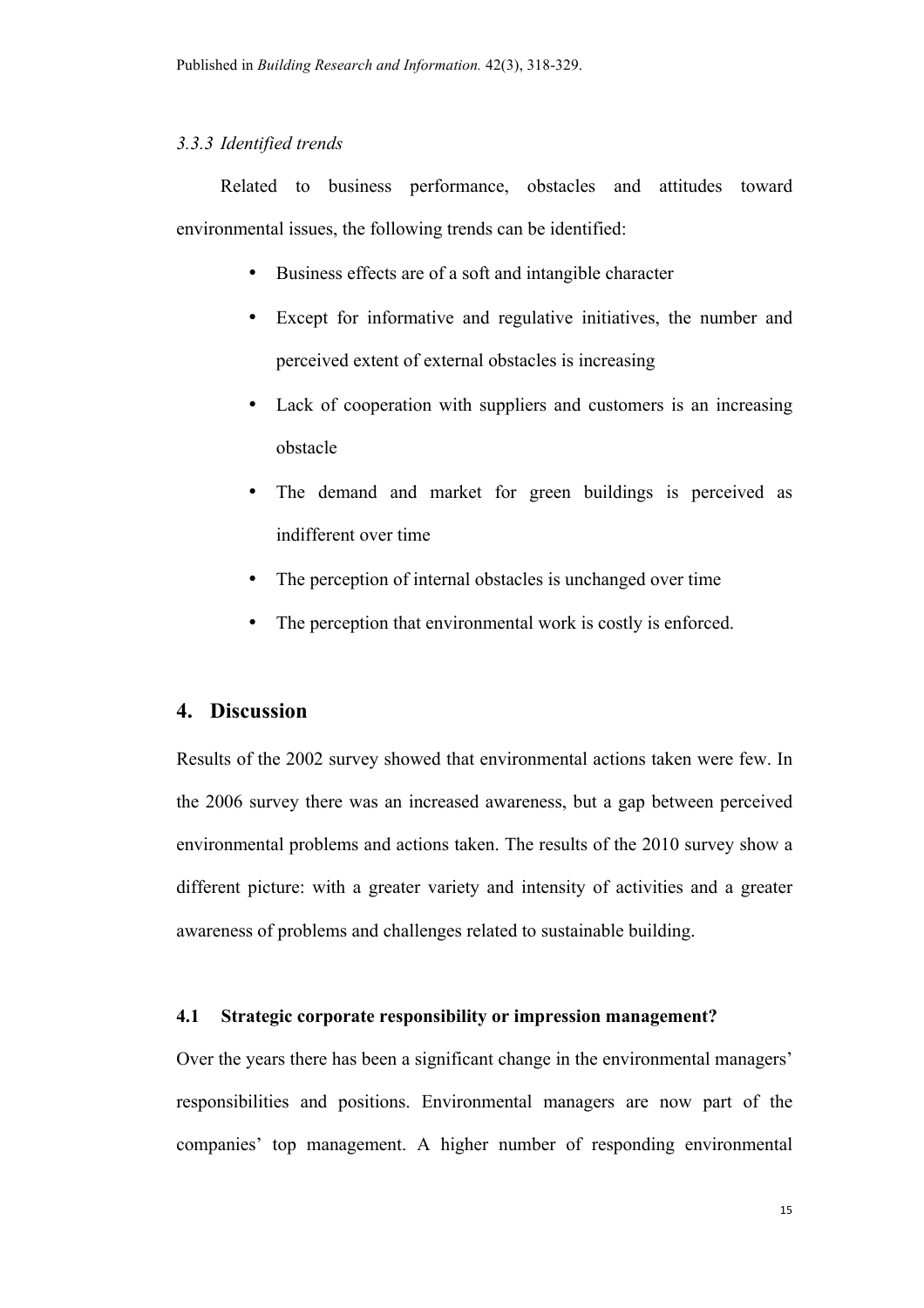#### *3.3.3 Identified trends*

Related to business performance, obstacles and attitudes toward environmental issues, the following trends can be identified:

- Business effects are of a soft and intangible character
- Except for informative and regulative initiatives, the number and perceived extent of external obstacles is increasing
- Lack of cooperation with suppliers and customers is an increasing obstacle
- The demand and market for green buildings is perceived as indifferent over time
- The perception of internal obstacles is unchanged over time
- The perception that environmental work is costly is enforced.

# **4. Discussion**

Results of the 2002 survey showed that environmental actions taken were few. In the 2006 survey there was an increased awareness, but a gap between perceived environmental problems and actions taken. The results of the 2010 survey show a different picture: with a greater variety and intensity of activities and a greater awareness of problems and challenges related to sustainable building.

#### **4.1 Strategic corporate responsibility or impression management?**

Over the years there has been a significant change in the environmental managers' responsibilities and positions. Environmental managers are now part of the companies' top management. A higher number of responding environmental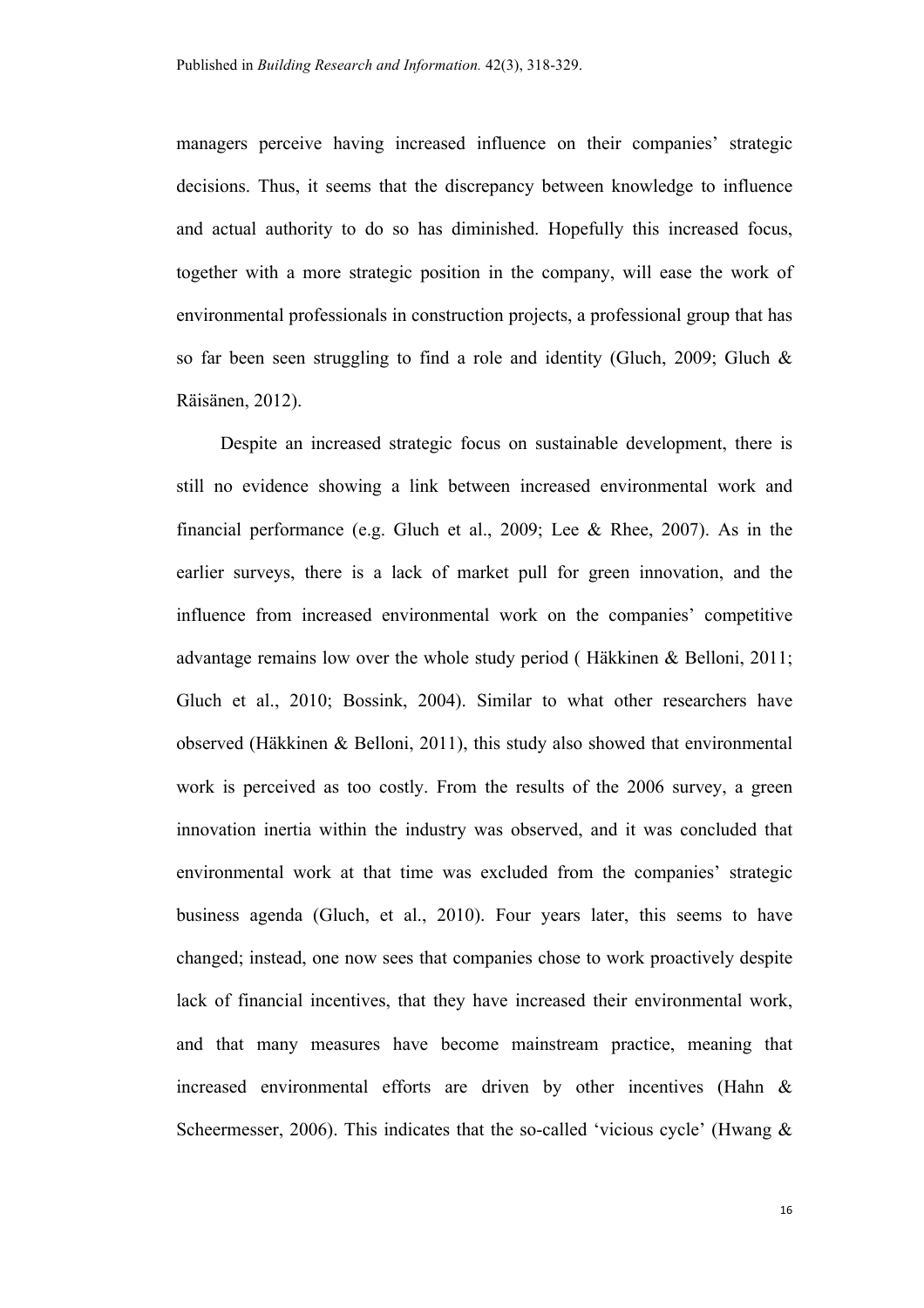managers perceive having increased influence on their companies' strategic decisions. Thus, it seems that the discrepancy between knowledge to influence and actual authority to do so has diminished. Hopefully this increased focus, together with a more strategic position in the company, will ease the work of environmental professionals in construction projects, a professional group that has so far been seen struggling to find a role and identity (Gluch, 2009; Gluch & Räisänen, 2012).

Despite an increased strategic focus on sustainable development, there is still no evidence showing a link between increased environmental work and financial performance (e.g. Gluch et al., 2009; Lee & Rhee, 2007). As in the earlier surveys, there is a lack of market pull for green innovation, and the influence from increased environmental work on the companies' competitive advantage remains low over the whole study period ( Häkkinen & Belloni, 2011; Gluch et al., 2010; Bossink, 2004). Similar to what other researchers have observed (Häkkinen & Belloni, 2011), this study also showed that environmental work is perceived as too costly. From the results of the 2006 survey, a green innovation inertia within the industry was observed, and it was concluded that environmental work at that time was excluded from the companies' strategic business agenda (Gluch, et al., 2010). Four years later, this seems to have changed; instead, one now sees that companies chose to work proactively despite lack of financial incentives, that they have increased their environmental work, and that many measures have become mainstream practice, meaning that increased environmental efforts are driven by other incentives (Hahn & Scheermesser, 2006). This indicates that the so-called 'vicious cycle' (Hwang  $\&$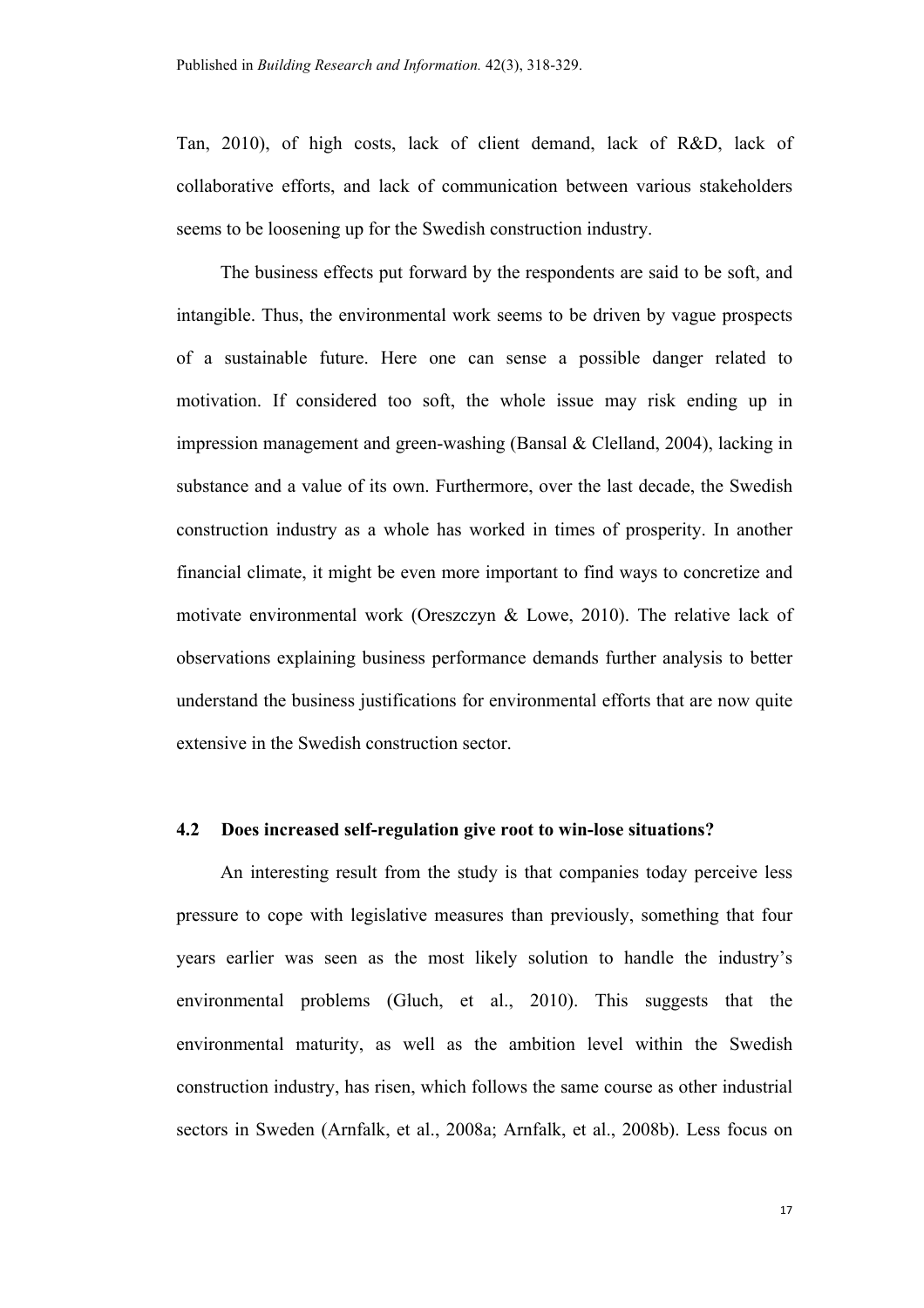Tan, 2010), of high costs, lack of client demand, lack of R&D, lack of collaborative efforts, and lack of communication between various stakeholders seems to be loosening up for the Swedish construction industry.

The business effects put forward by the respondents are said to be soft, and intangible. Thus, the environmental work seems to be driven by vague prospects of a sustainable future. Here one can sense a possible danger related to motivation. If considered too soft, the whole issue may risk ending up in impression management and green-washing (Bansal & Clelland, 2004), lacking in substance and a value of its own. Furthermore, over the last decade, the Swedish construction industry as a whole has worked in times of prosperity. In another financial climate, it might be even more important to find ways to concretize and motivate environmental work (Oreszczyn & Lowe, 2010). The relative lack of observations explaining business performance demands further analysis to better understand the business justifications for environmental efforts that are now quite extensive in the Swedish construction sector.

#### **4.2 Does increased self-regulation give root to win-lose situations?**

An interesting result from the study is that companies today perceive less pressure to cope with legislative measures than previously, something that four years earlier was seen as the most likely solution to handle the industry's environmental problems (Gluch, et al., 2010). This suggests that the environmental maturity, as well as the ambition level within the Swedish construction industry, has risen, which follows the same course as other industrial sectors in Sweden (Arnfalk, et al., 2008a; Arnfalk, et al., 2008b). Less focus on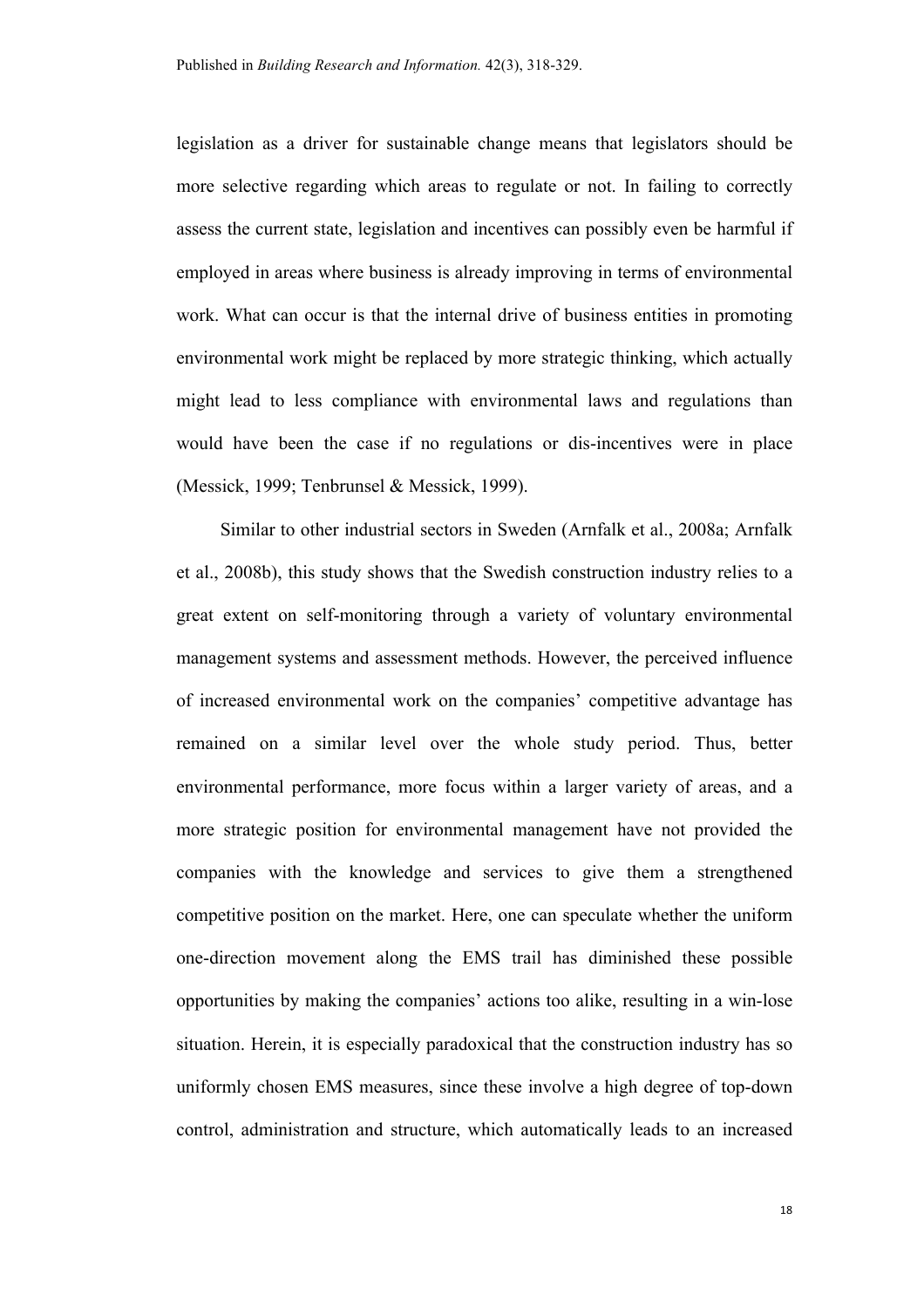legislation as a driver for sustainable change means that legislators should be more selective regarding which areas to regulate or not. In failing to correctly assess the current state, legislation and incentives can possibly even be harmful if employed in areas where business is already improving in terms of environmental work. What can occur is that the internal drive of business entities in promoting environmental work might be replaced by more strategic thinking, which actually might lead to less compliance with environmental laws and regulations than would have been the case if no regulations or dis-incentives were in place (Messick, 1999; Tenbrunsel & Messick, 1999).

Similar to other industrial sectors in Sweden (Arnfalk et al., 2008a; Arnfalk et al., 2008b), this study shows that the Swedish construction industry relies to a great extent on self-monitoring through a variety of voluntary environmental management systems and assessment methods. However, the perceived influence of increased environmental work on the companies' competitive advantage has remained on a similar level over the whole study period. Thus, better environmental performance, more focus within a larger variety of areas, and a more strategic position for environmental management have not provided the companies with the knowledge and services to give them a strengthened competitive position on the market. Here, one can speculate whether the uniform one-direction movement along the EMS trail has diminished these possible opportunities by making the companies' actions too alike, resulting in a win-lose situation. Herein, it is especially paradoxical that the construction industry has so uniformly chosen EMS measures, since these involve a high degree of top-down control, administration and structure, which automatically leads to an increased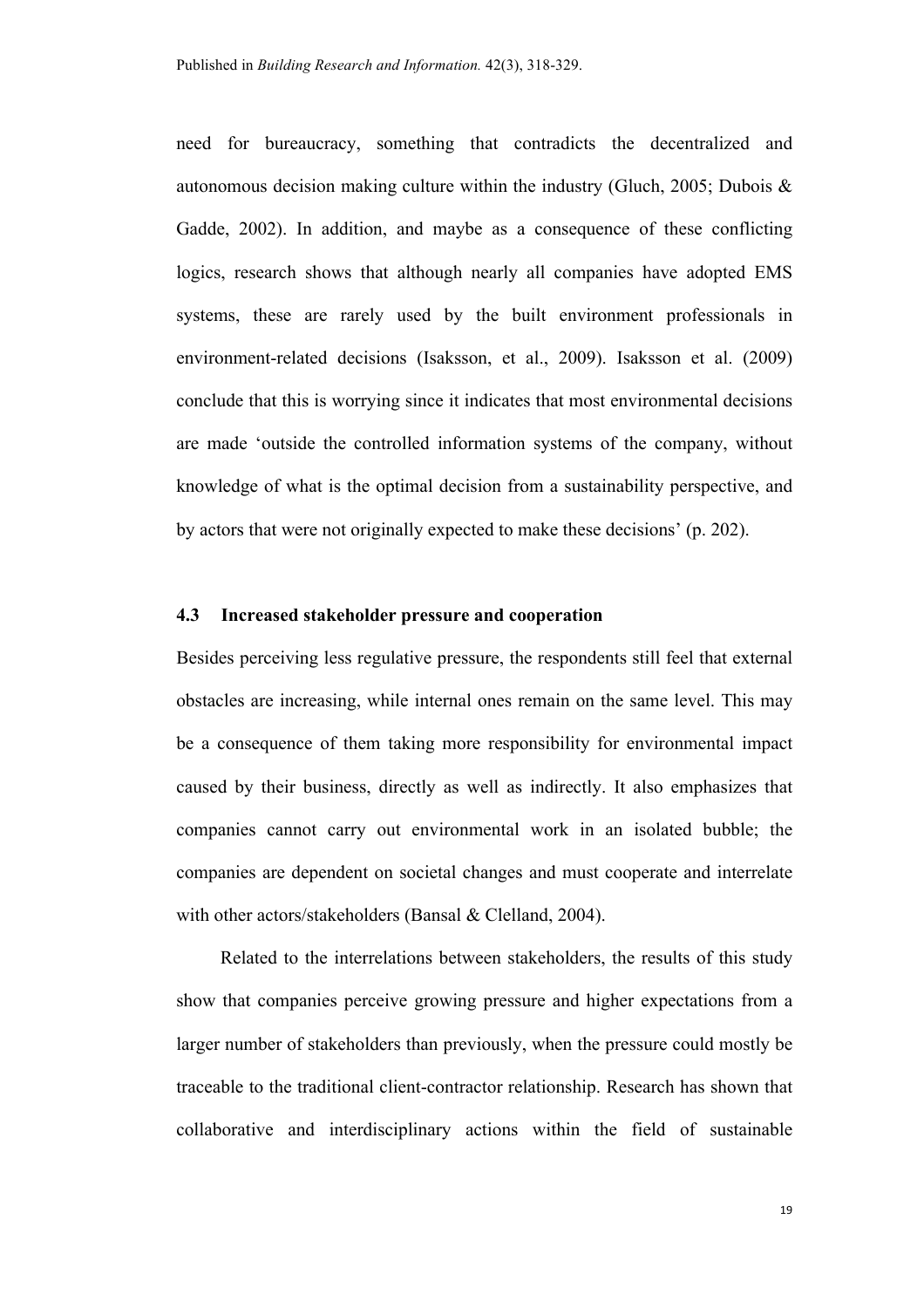need for bureaucracy, something that contradicts the decentralized and autonomous decision making culture within the industry (Gluch, 2005; Dubois  $\&$ Gadde, 2002). In addition, and maybe as a consequence of these conflicting logics, research shows that although nearly all companies have adopted EMS systems, these are rarely used by the built environment professionals in environment-related decisions (Isaksson, et al., 2009). Isaksson et al. (2009) conclude that this is worrying since it indicates that most environmental decisions are made 'outside the controlled information systems of the company, without knowledge of what is the optimal decision from a sustainability perspective, and by actors that were not originally expected to make these decisions' (p. 202).

#### **4.3 Increased stakeholder pressure and cooperation**

Besides perceiving less regulative pressure, the respondents still feel that external obstacles are increasing, while internal ones remain on the same level. This may be a consequence of them taking more responsibility for environmental impact caused by their business, directly as well as indirectly. It also emphasizes that companies cannot carry out environmental work in an isolated bubble; the companies are dependent on societal changes and must cooperate and interrelate with other actors/stakeholders (Bansal & Clelland, 2004).

Related to the interrelations between stakeholders, the results of this study show that companies perceive growing pressure and higher expectations from a larger number of stakeholders than previously, when the pressure could mostly be traceable to the traditional client-contractor relationship. Research has shown that collaborative and interdisciplinary actions within the field of sustainable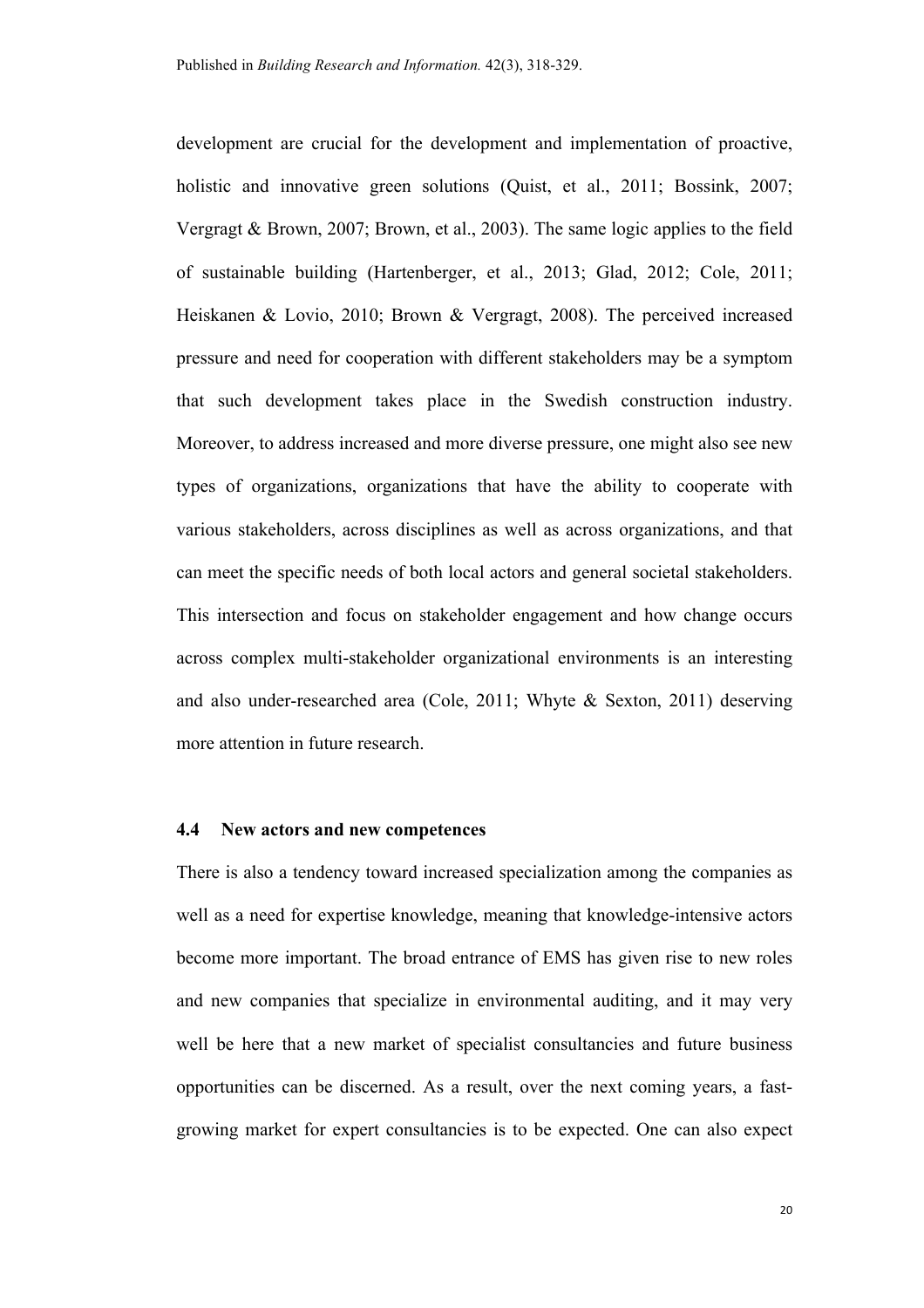development are crucial for the development and implementation of proactive, holistic and innovative green solutions (Quist, et al., 2011; Bossink, 2007; Vergragt & Brown, 2007; Brown, et al., 2003). The same logic applies to the field of sustainable building (Hartenberger, et al., 2013; Glad, 2012; Cole, 2011; Heiskanen & Lovio, 2010; Brown & Vergragt, 2008). The perceived increased pressure and need for cooperation with different stakeholders may be a symptom that such development takes place in the Swedish construction industry. Moreover, to address increased and more diverse pressure, one might also see new types of organizations, organizations that have the ability to cooperate with various stakeholders, across disciplines as well as across organizations, and that can meet the specific needs of both local actors and general societal stakeholders. This intersection and focus on stakeholder engagement and how change occurs across complex multi-stakeholder organizational environments is an interesting and also under-researched area (Cole, 2011; Whyte & Sexton, 2011) deserving more attention in future research.

#### **4.4 New actors and new competences**

There is also a tendency toward increased specialization among the companies as well as a need for expertise knowledge, meaning that knowledge-intensive actors become more important. The broad entrance of EMS has given rise to new roles and new companies that specialize in environmental auditing, and it may very well be here that a new market of specialist consultancies and future business opportunities can be discerned. As a result, over the next coming years, a fastgrowing market for expert consultancies is to be expected. One can also expect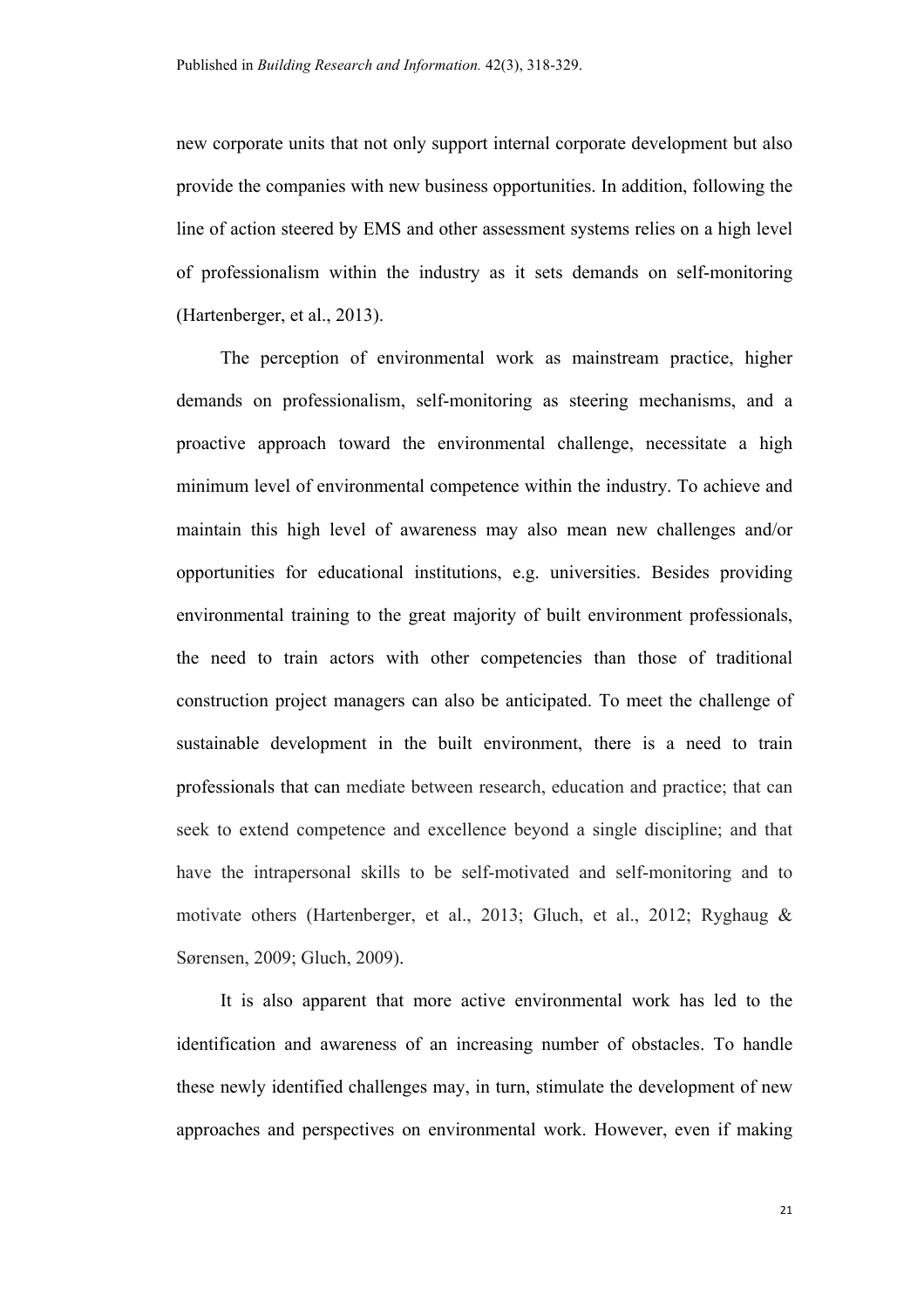new corporate units that not only support internal corporate development but also provide the companies with new business opportunities. In addition, following the line of action steered by EMS and other assessment systems relies on a high level of professionalism within the industry as it sets demands on self-monitoring (Hartenberger, et al., 2013).

The perception of environmental work as mainstream practice, higher demands on professionalism, self-monitoring as steering mechanisms, and a proactive approach toward the environmental challenge, necessitate a high minimum level of environmental competence within the industry. To achieve and maintain this high level of awareness may also mean new challenges and/or opportunities for educational institutions, e.g. universities. Besides providing environmental training to the great majority of built environment professionals, the need to train actors with other competencies than those of traditional construction project managers can also be anticipated. To meet the challenge of sustainable development in the built environment, there is a need to train professionals that can mediate between research, education and practice; that can seek to extend competence and excellence beyond a single discipline; and that have the intrapersonal skills to be self-motivated and self-monitoring and to motivate others (Hartenberger, et al., 2013; Gluch, et al., 2012; Ryghaug & Sørensen, 2009; Gluch, 2009).

It is also apparent that more active environmental work has led to the identification and awareness of an increasing number of obstacles. To handle these newly identified challenges may, in turn, stimulate the development of new approaches and perspectives on environmental work. However, even if making

21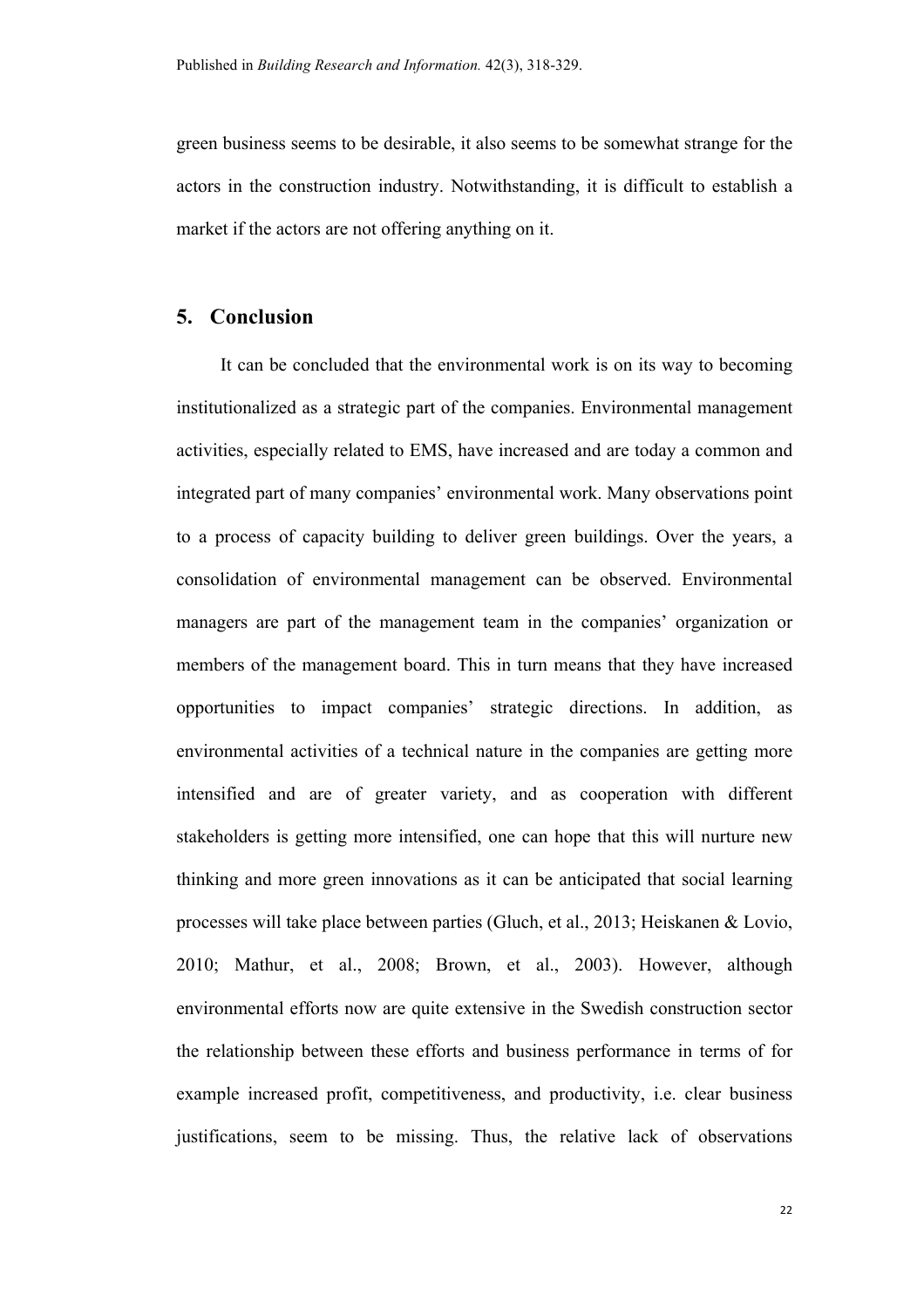green business seems to be desirable, it also seems to be somewhat strange for the actors in the construction industry. Notwithstanding, it is difficult to establish a market if the actors are not offering anything on it.

# **5. Conclusion**

It can be concluded that the environmental work is on its way to becoming institutionalized as a strategic part of the companies. Environmental management activities, especially related to EMS, have increased and are today a common and integrated part of many companies' environmental work. Many observations point to a process of capacity building to deliver green buildings. Over the years, a consolidation of environmental management can be observed. Environmental managers are part of the management team in the companies' organization or members of the management board. This in turn means that they have increased opportunities to impact companies' strategic directions. In addition, as environmental activities of a technical nature in the companies are getting more intensified and are of greater variety, and as cooperation with different stakeholders is getting more intensified, one can hope that this will nurture new thinking and more green innovations as it can be anticipated that social learning processes will take place between parties (Gluch, et al., 2013; Heiskanen & Lovio, 2010; Mathur, et al., 2008; Brown, et al., 2003). However, although environmental efforts now are quite extensive in the Swedish construction sector the relationship between these efforts and business performance in terms of for example increased profit, competitiveness, and productivity, i.e. clear business justifications, seem to be missing. Thus, the relative lack of observations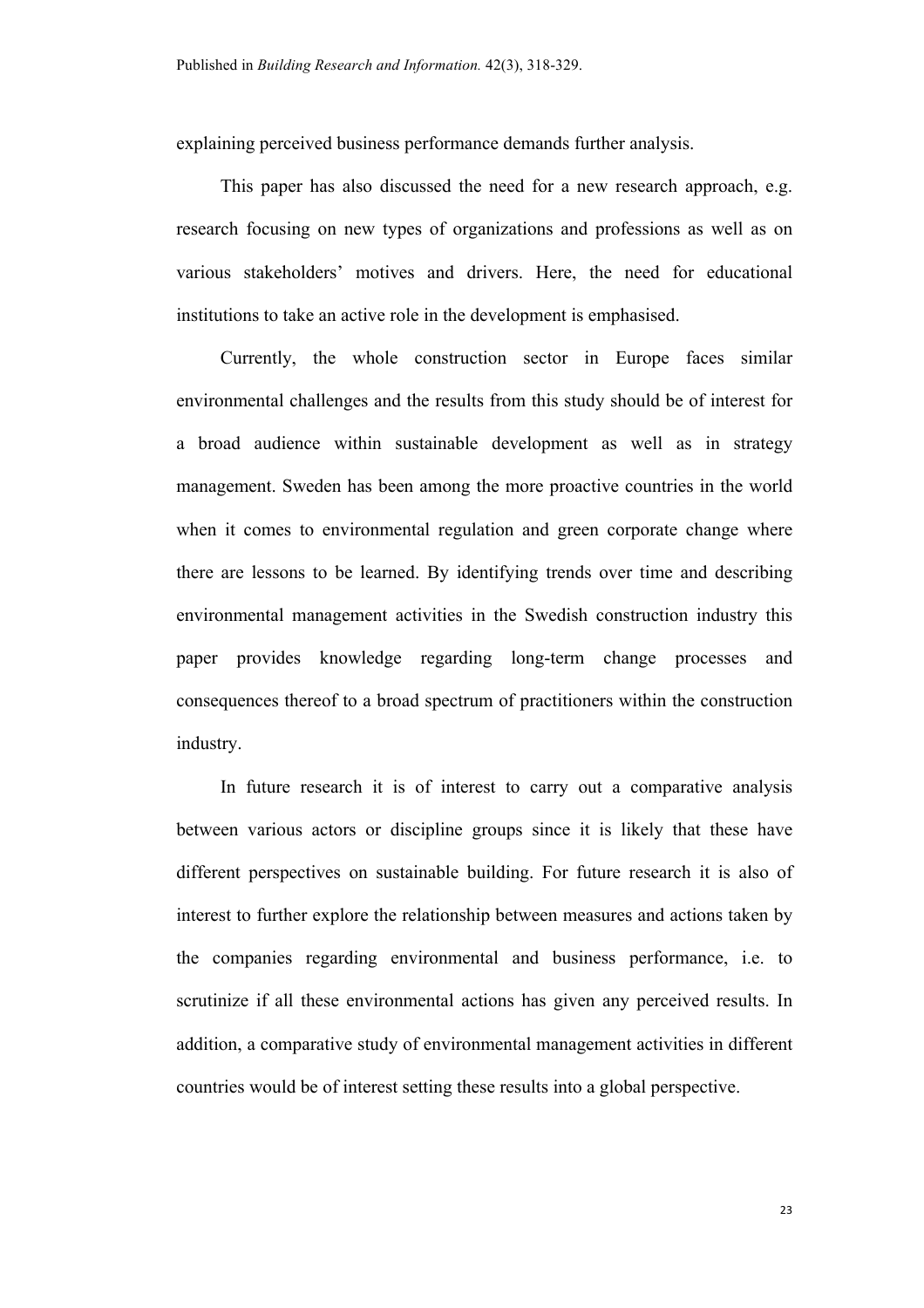explaining perceived business performance demands further analysis.

This paper has also discussed the need for a new research approach, e.g. research focusing on new types of organizations and professions as well as on various stakeholders' motives and drivers. Here, the need for educational institutions to take an active role in the development is emphasised.

Currently, the whole construction sector in Europe faces similar environmental challenges and the results from this study should be of interest for a broad audience within sustainable development as well as in strategy management. Sweden has been among the more proactive countries in the world when it comes to environmental regulation and green corporate change where there are lessons to be learned. By identifying trends over time and describing environmental management activities in the Swedish construction industry this paper provides knowledge regarding long-term change processes and consequences thereof to a broad spectrum of practitioners within the construction industry.

In future research it is of interest to carry out a comparative analysis between various actors or discipline groups since it is likely that these have different perspectives on sustainable building. For future research it is also of interest to further explore the relationship between measures and actions taken by the companies regarding environmental and business performance, i.e. to scrutinize if all these environmental actions has given any perceived results. In addition, a comparative study of environmental management activities in different countries would be of interest setting these results into a global perspective.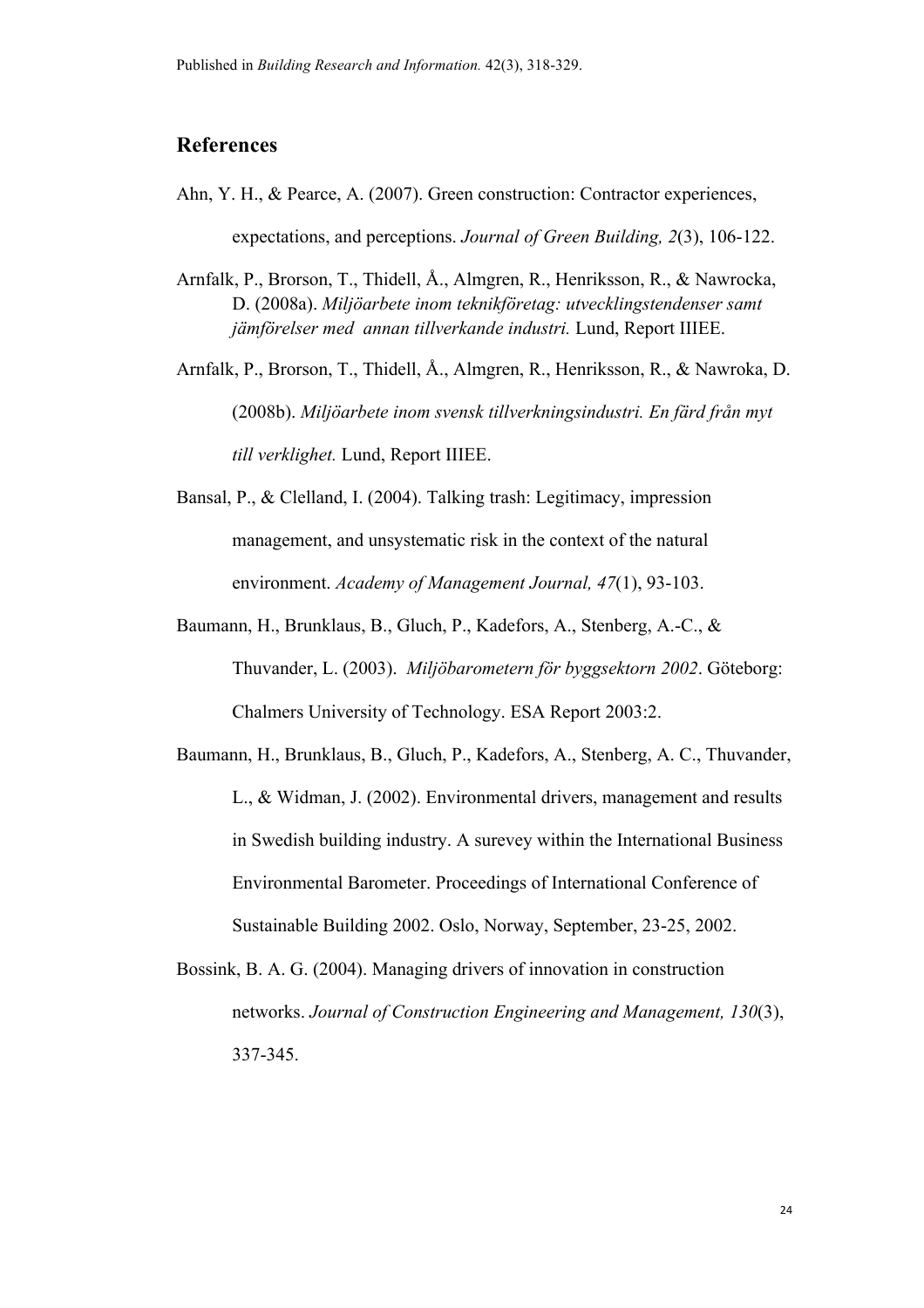# **References**

- Ahn, Y. H., & Pearce, A. (2007). Green construction: Contractor experiences, expectations, and perceptions. *Journal of Green Building, 2*(3), 106-122.
- Arnfalk, P., Brorson, T., Thidell, Å., Almgren, R., Henriksson, R., & Nawrocka, D. (2008a). *Miljöarbete inom teknikföretag: utvecklingstendenser samt jämförelser med annan tillverkande industri.* Lund, Report IIIEE.

Arnfalk, P., Brorson, T., Thidell, Å., Almgren, R., Henriksson, R., & Nawroka, D. (2008b). *Miljöarbete inom svensk tillverkningsindustri. En färd från myt till verklighet.* Lund, Report IIIEE.

- Bansal, P., & Clelland, I. (2004). Talking trash: Legitimacy, impression management, and unsystematic risk in the context of the natural environment. *Academy of Management Journal, 47*(1), 93-103.
- Baumann, H., Brunklaus, B., Gluch, P., Kadefors, A., Stenberg, A.-C., & Thuvander, L. (2003). *Miljöbarometern för byggsektorn 2002*. Göteborg: Chalmers University of Technology. ESA Report 2003:2.
- Baumann, H., Brunklaus, B., Gluch, P., Kadefors, A., Stenberg, A. C., Thuvander, L., & Widman, J. (2002). Environmental drivers, management and results in Swedish building industry. A surevey within the International Business Environmental Barometer. Proceedings of International Conference of Sustainable Building 2002. Oslo, Norway, September, 23-25, 2002.
- Bossink, B. A. G. (2004). Managing drivers of innovation in construction networks. *Journal of Construction Engineering and Management, 130*(3), 337-345.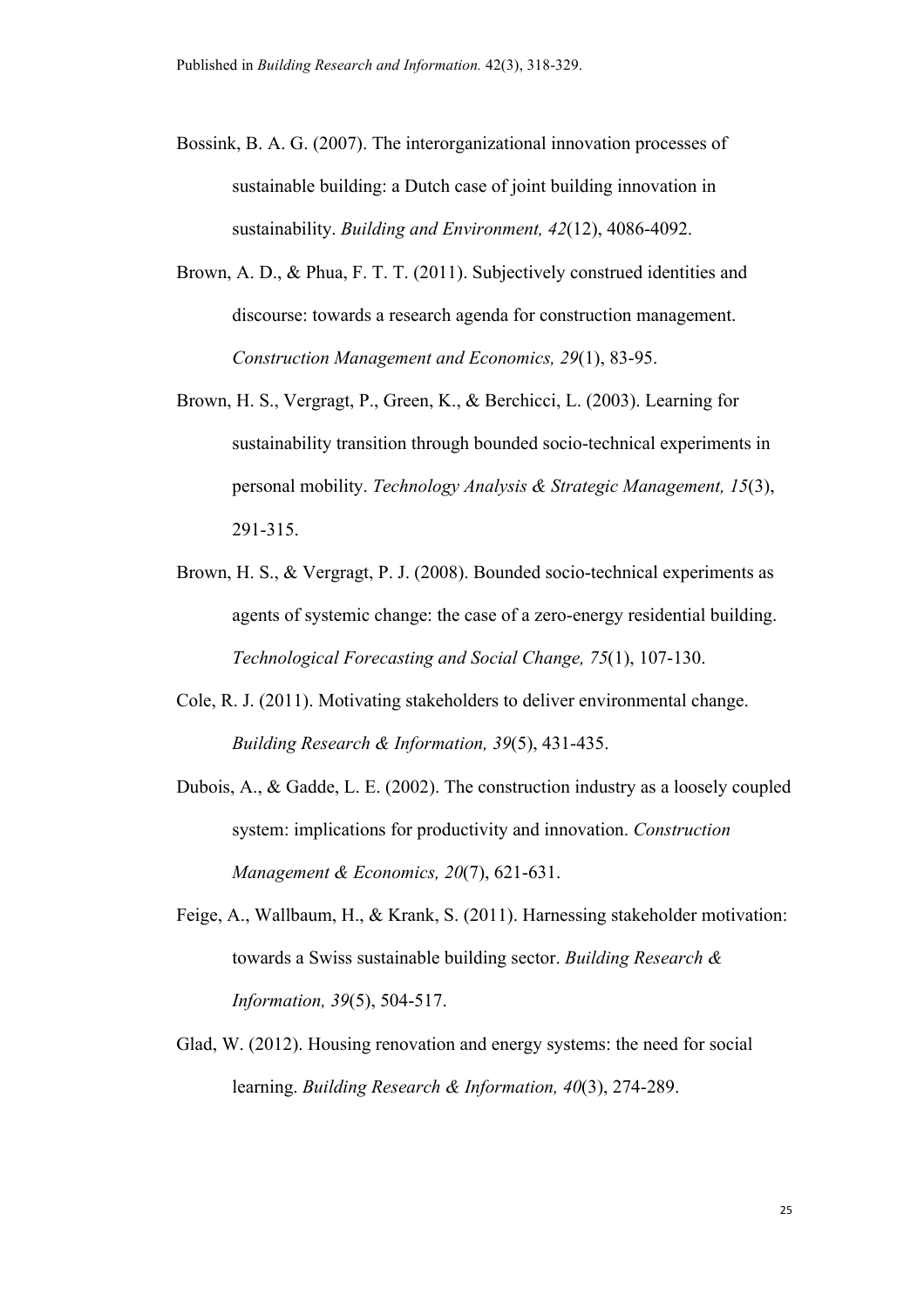- Bossink, B. A. G. (2007). The interorganizational innovation processes of sustainable building: a Dutch case of joint building innovation in sustainability. *Building and Environment, 42*(12), 4086-4092.
- Brown, A. D., & Phua, F. T. T. (2011). Subjectively construed identities and discourse: towards a research agenda for construction management. *Construction Management and Economics, 29*(1), 83-95.
- Brown, H. S., Vergragt, P., Green, K., & Berchicci, L. (2003). Learning for sustainability transition through bounded socio-technical experiments in personal mobility. *Technology Analysis & Strategic Management, 15*(3), 291-315.
- Brown, H. S., & Vergragt, P. J. (2008). Bounded socio-technical experiments as agents of systemic change: the case of a zero-energy residential building. *Technological Forecasting and Social Change, 75*(1), 107-130.
- Cole, R. J. (2011). Motivating stakeholders to deliver environmental change. *Building Research & Information, 39*(5), 431-435.
- Dubois, A., & Gadde, L. E. (2002). The construction industry as a loosely coupled system: implications for productivity and innovation. *Construction Management & Economics, 20*(7), 621-631.
- Feige, A., Wallbaum, H., & Krank, S. (2011). Harnessing stakeholder motivation: towards a Swiss sustainable building sector. *Building Research & Information, 39*(5), 504-517.
- Glad, W. (2012). Housing renovation and energy systems: the need for social learning. *Building Research & Information, 40*(3), 274-289.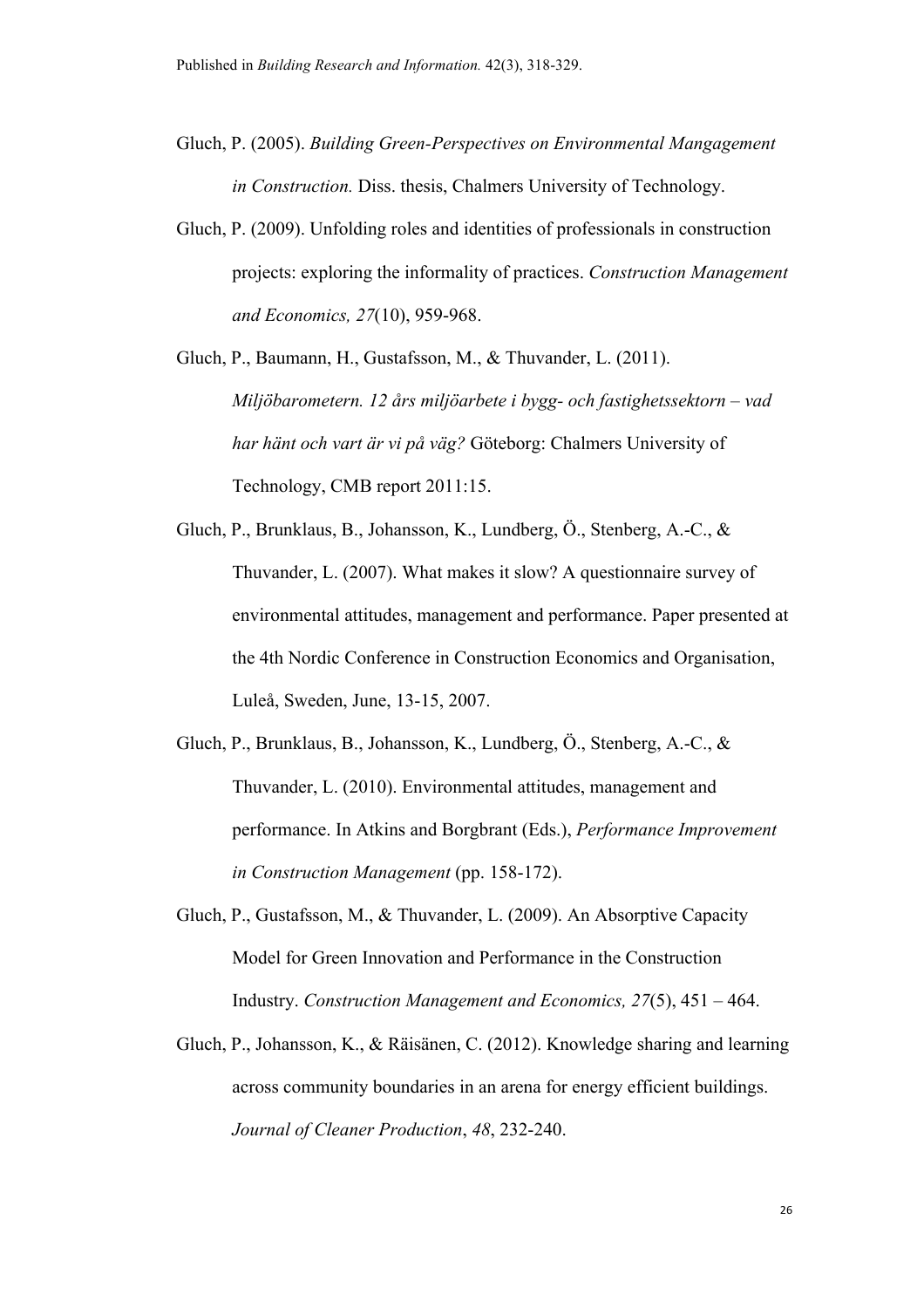- Gluch, P. (2005). *Building Green-Perspectives on Environmental Mangagement in Construction.* Diss. thesis, Chalmers University of Technology.
- Gluch, P. (2009). Unfolding roles and identities of professionals in construction projects: exploring the informality of practices. *Construction Management and Economics, 27*(10), 959-968.
- Gluch, P., Baumann, H., Gustafsson, M., & Thuvander, L. (2011). *Miljöbarometern. 12 års miljöarbete i bygg- och fastighetssektorn – vad har hänt och vart är vi på väg?* Göteborg: Chalmers University of Technology, CMB report 2011:15.
- Gluch, P., Brunklaus, B., Johansson, K., Lundberg, Ö., Stenberg, A.-C., & Thuvander, L. (2007). What makes it slow? A questionnaire survey of environmental attitudes, management and performance. Paper presented at the 4th Nordic Conference in Construction Economics and Organisation, Luleå, Sweden, June, 13-15, 2007.
- Gluch, P., Brunklaus, B., Johansson, K., Lundberg, Ö., Stenberg, A.-C., & Thuvander, L. (2010). Environmental attitudes, management and performance. In Atkins and Borgbrant (Eds.), *Performance Improvement in Construction Management* (pp. 158-172).
- Gluch, P., Gustafsson, M., & Thuvander, L. (2009). An Absorptive Capacity Model for Green Innovation and Performance in the Construction Industry. *Construction Management and Economics, 27*(5), 451 – 464.
- Gluch, P., Johansson, K., & Räisänen, C. (2012). Knowledge sharing and learning across community boundaries in an arena for energy efficient buildings. *Journal of Cleaner Production*, *48*, 232-240.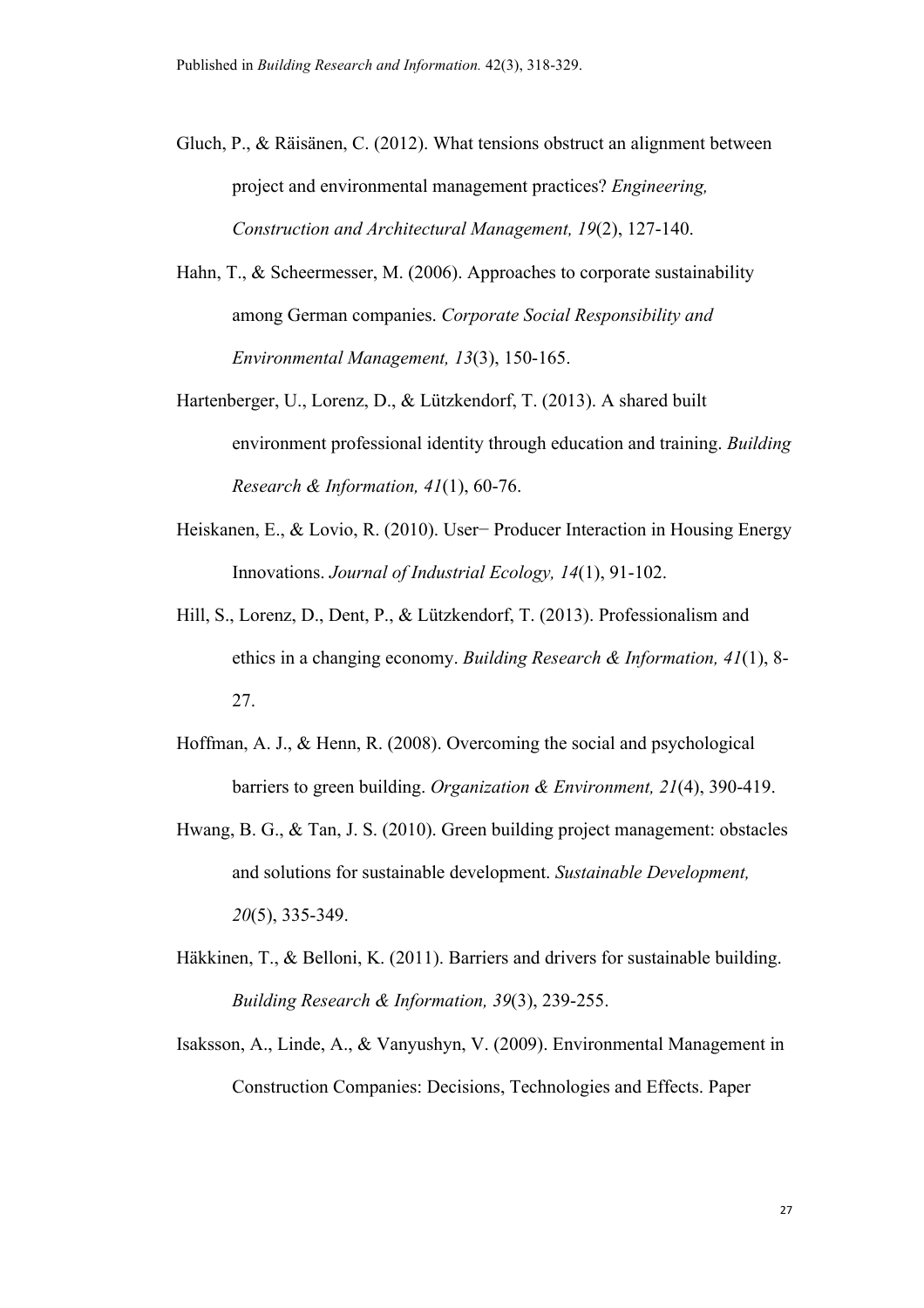- Gluch, P., & Räisänen, C. (2012). What tensions obstruct an alignment between project and environmental management practices? *Engineering, Construction and Architectural Management, 19*(2), 127-140.
- Hahn, T., & Scheermesser, M. (2006). Approaches to corporate sustainability among German companies. *Corporate Social Responsibility and Environmental Management, 13*(3), 150-165.
- Hartenberger, U., Lorenz, D., & Lützkendorf, T. (2013). A shared built environment professional identity through education and training. *Building Research & Information, 41*(1), 60-76.
- Heiskanen, E., & Lovio, R. (2010). User− Producer Interaction in Housing Energy Innovations. *Journal of Industrial Ecology, 14*(1), 91-102.
- Hill, S., Lorenz, D., Dent, P., & Lützkendorf, T. (2013). Professionalism and ethics in a changing economy. *Building Research & Information, 41*(1), 8- 27.
- Hoffman, A. J., & Henn, R. (2008). Overcoming the social and psychological barriers to green building. *Organization & Environment, 21*(4), 390-419.
- Hwang, B. G., & Tan, J. S. (2010). Green building project management: obstacles and solutions for sustainable development. *Sustainable Development, 20*(5), 335-349.
- Häkkinen, T., & Belloni, K. (2011). Barriers and drivers for sustainable building. *Building Research & Information, 39*(3), 239-255.
- Isaksson, A., Linde, A., & Vanyushyn, V. (2009). Environmental Management in Construction Companies: Decisions, Technologies and Effects. Paper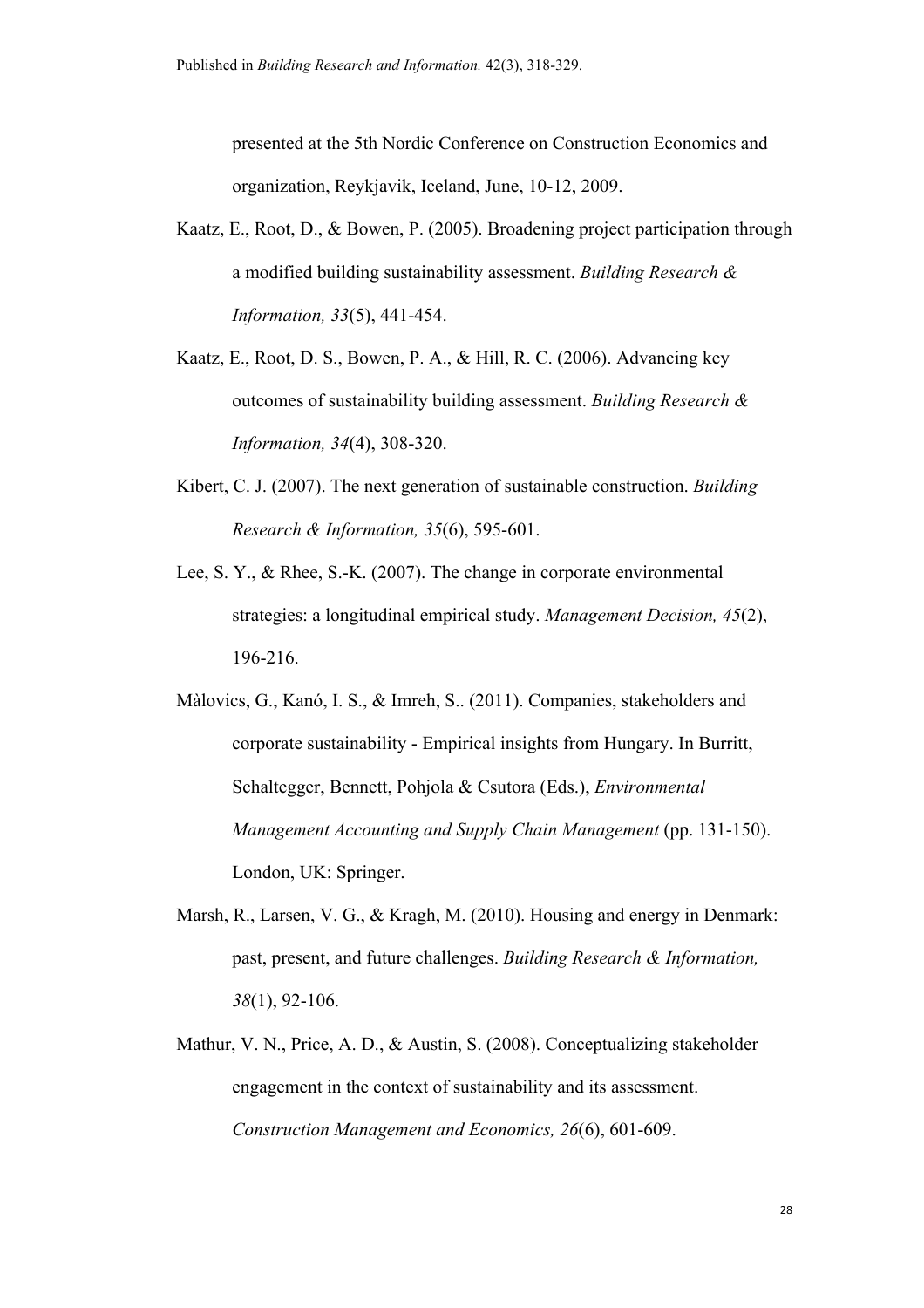presented at the 5th Nordic Conference on Construction Economics and organization, Reykjavik, Iceland, June, 10-12, 2009.

- Kaatz, E., Root, D., & Bowen, P. (2005). Broadening project participation through a modified building sustainability assessment. *Building Research & Information, 33*(5), 441-454.
- Kaatz, E., Root, D. S., Bowen, P. A., & Hill, R. C. (2006). Advancing key outcomes of sustainability building assessment. *Building Research & Information, 34*(4), 308-320.
- Kibert, C. J. (2007). The next generation of sustainable construction. *Building Research & Information, 35*(6), 595-601.
- Lee, S. Y., & Rhee, S.-K. (2007). The change in corporate environmental strategies: a longitudinal empirical study. *Management Decision, 45*(2), 196-216.
- Màlovics, G., Kanó, I. S., & Imreh, S.. (2011). Companies, stakeholders and corporate sustainability - Empirical insights from Hungary. In Burritt, Schaltegger, Bennett, Pohjola & Csutora (Eds.), *Environmental Management Accounting and Supply Chain Management* (pp. 131-150). London, UK: Springer.
- Marsh, R., Larsen, V. G., & Kragh, M. (2010). Housing and energy in Denmark: past, present, and future challenges. *Building Research & Information, 38*(1), 92-106.
- Mathur, V. N., Price, A. D., & Austin, S. (2008). Conceptualizing stakeholder engagement in the context of sustainability and its assessment. *Construction Management and Economics, 26*(6), 601-609.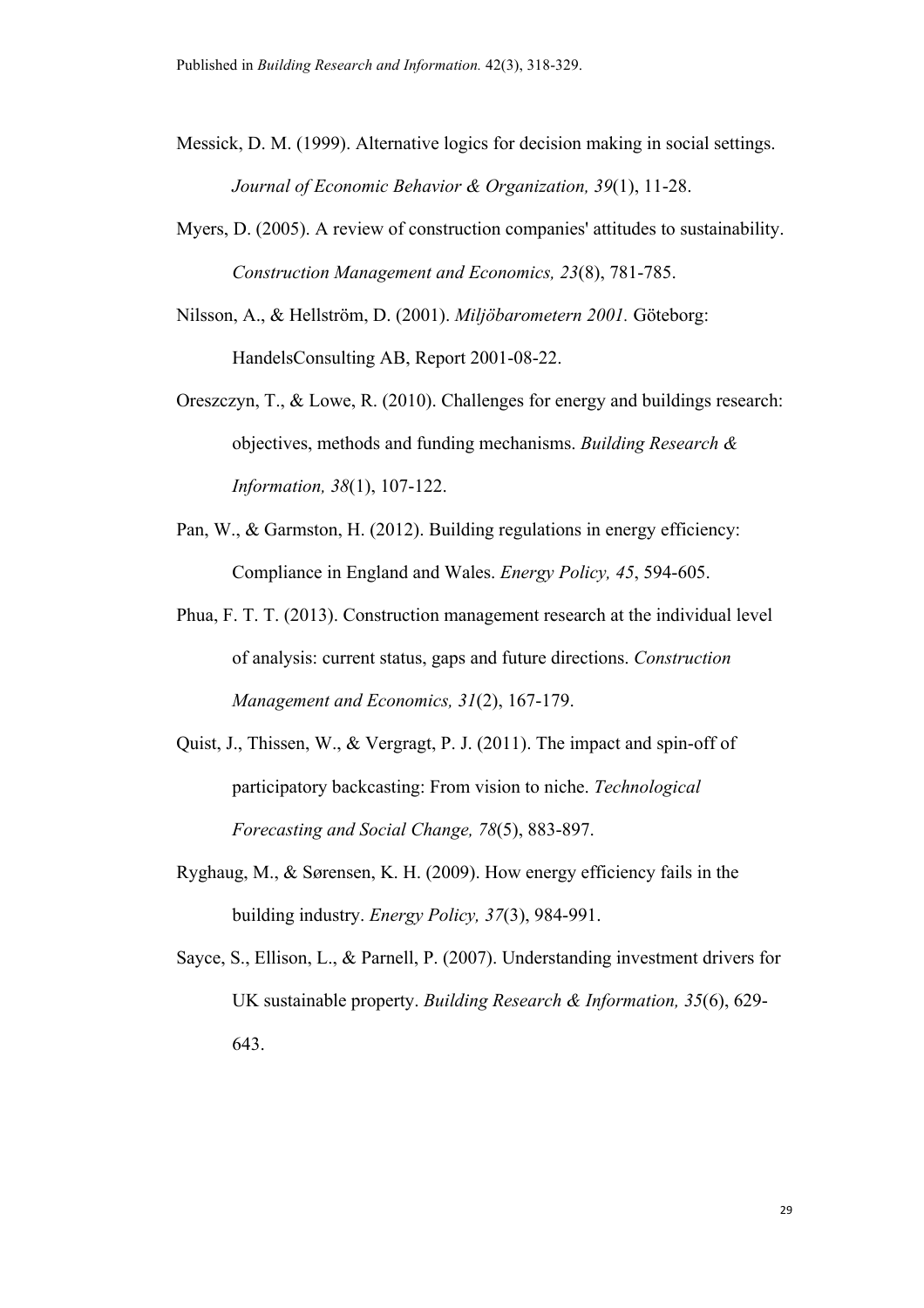- Messick, D. M. (1999). Alternative logics for decision making in social settings. *Journal of Economic Behavior & Organization, 39*(1), 11-28.
- Myers, D. (2005). A review of construction companies' attitudes to sustainability. *Construction Management and Economics, 23*(8), 781-785.
- Nilsson, A., & Hellström, D. (2001). *Miljöbarometern 2001.* Göteborg: HandelsConsulting AB, Report 2001-08-22.
- Oreszczyn, T., & Lowe, R. (2010). Challenges for energy and buildings research: objectives, methods and funding mechanisms. *Building Research & Information, 38*(1), 107-122.
- Pan, W., & Garmston, H. (2012). Building regulations in energy efficiency: Compliance in England and Wales. *Energy Policy, 45*, 594-605.
- Phua, F. T. T. (2013). Construction management research at the individual level of analysis: current status, gaps and future directions. *Construction Management and Economics, 31*(2), 167-179.
- Quist, J., Thissen, W., & Vergragt, P. J. (2011). The impact and spin-off of participatory backcasting: From vision to niche. *Technological Forecasting and Social Change, 78*(5), 883-897.
- Ryghaug, M., & Sørensen, K. H. (2009). How energy efficiency fails in the building industry. *Energy Policy, 37*(3), 984-991.
- Sayce, S., Ellison, L., & Parnell, P. (2007). Understanding investment drivers for UK sustainable property. *Building Research & Information, 35*(6), 629- 643.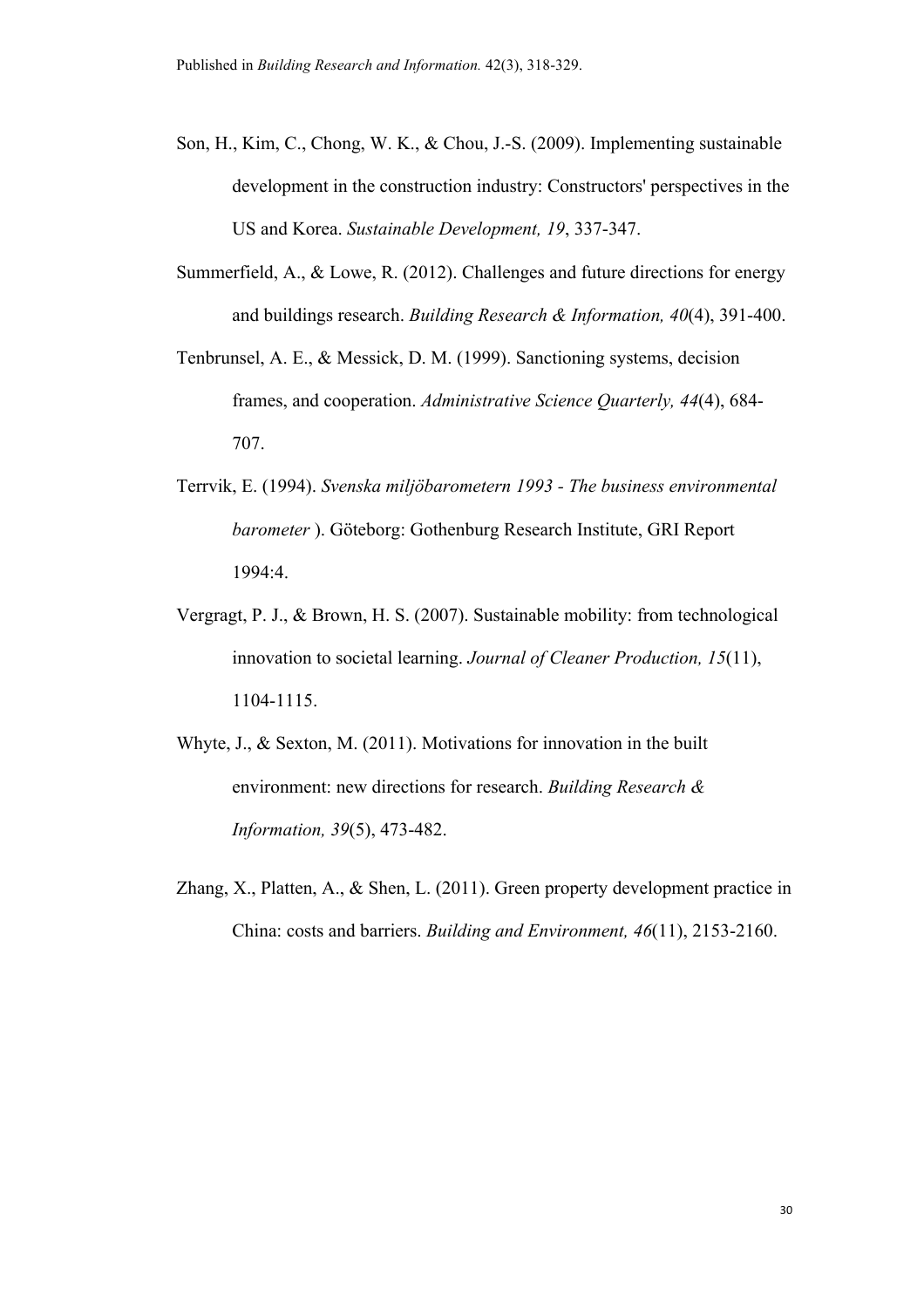- Son, H., Kim, C., Chong, W. K., & Chou, J.-S. (2009). Implementing sustainable development in the construction industry: Constructors' perspectives in the US and Korea. *Sustainable Development, 19*, 337-347.
- Summerfield, A., & Lowe, R. (2012). Challenges and future directions for energy and buildings research. *Building Research & Information, 40*(4), 391-400.
- Tenbrunsel, A. E., & Messick, D. M. (1999). Sanctioning systems, decision frames, and cooperation. *Administrative Science Quarterly, 44*(4), 684- 707.
- Terrvik, E. (1994). *Svenska miljöbarometern 1993 - The business environmental barometer* ). Göteborg: Gothenburg Research Institute, GRI Report 1994:4.
- Vergragt, P. J., & Brown, H. S. (2007). Sustainable mobility: from technological innovation to societal learning. *Journal of Cleaner Production, 15*(11), 1104-1115.
- Whyte, J., & Sexton, M. (2011). Motivations for innovation in the built environment: new directions for research. *Building Research & Information, 39*(5), 473-482.
- Zhang, X., Platten, A., & Shen, L. (2011). Green property development practice in China: costs and barriers. *Building and Environment, 46*(11), 2153-2160.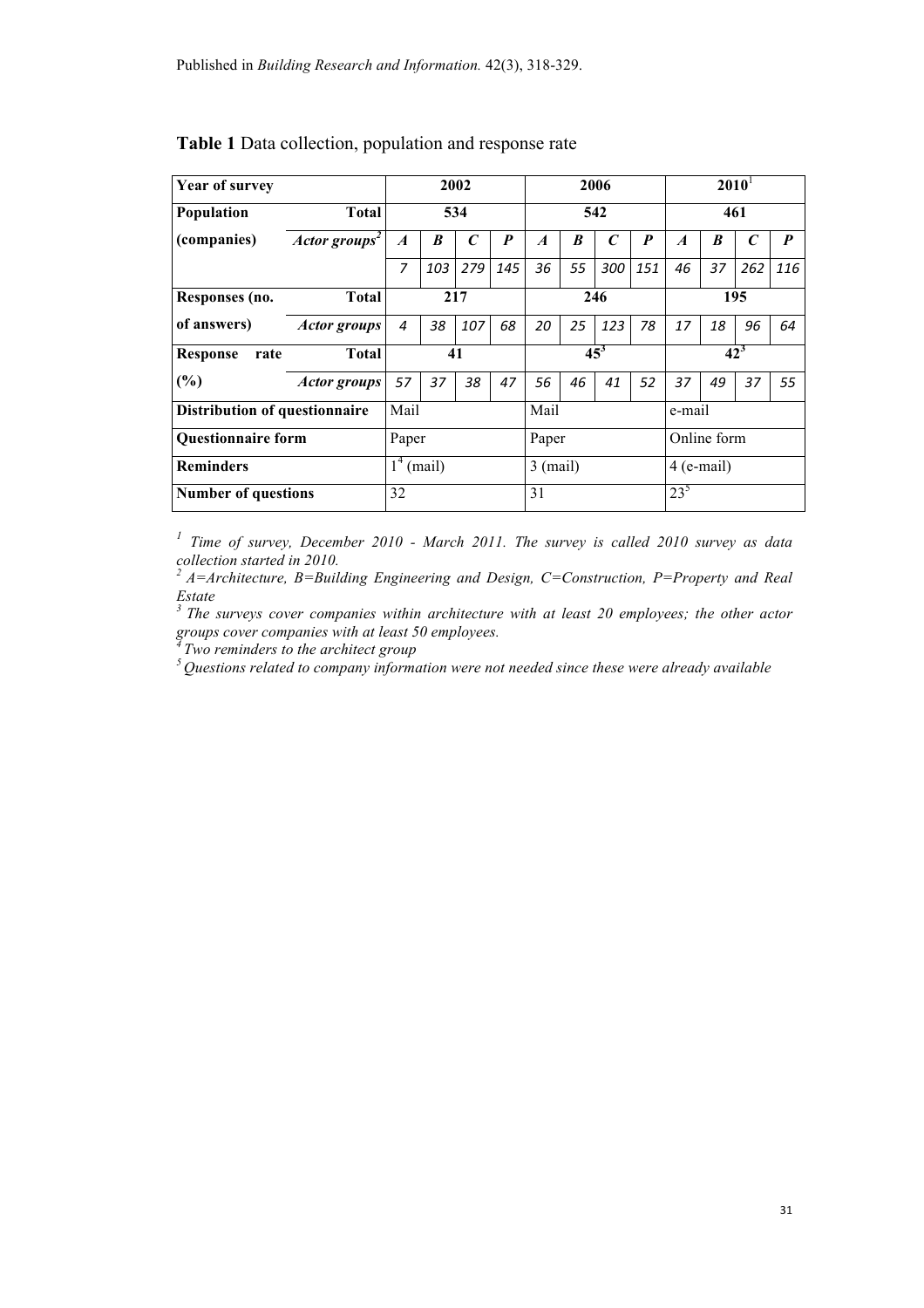| <b>Year of survey</b>                |                           | 2002                                  |                  | 2006         |                  |                  | $2010^1$    |                  |                  |                  |    |              |     |
|--------------------------------------|---------------------------|---------------------------------------|------------------|--------------|------------------|------------------|-------------|------------------|------------------|------------------|----|--------------|-----|
| Population                           | <b>Total</b>              | 534                                   |                  | 542          |                  |                  | 461         |                  |                  |                  |    |              |     |
| (companies)                          | Actor groups <sup>2</sup> | $\boldsymbol{A}$                      | $\boldsymbol{B}$ | $\mathcal C$ | $\boldsymbol{P}$ | $\boldsymbol{A}$ | B           | $\boldsymbol{C}$ | $\boldsymbol{P}$ | $\boldsymbol{A}$ | B  | $\mathcal C$ | P   |
|                                      |                           | 7                                     | 103              | 279          | 145              | 36               | 55          | 300              | 151              | 46               | 37 | 262          | 116 |
| Responses (no.                       | <b>Total</b>              | 217                                   |                  | 246          |                  |                  | 195         |                  |                  |                  |    |              |     |
| of answers)                          | <b>Actor groups</b>       | $\overline{4}$                        | 38               | 107          | 68               | 20               | 25          | 123              | 78               | 17               | 18 | 96           | 64  |
| <b>Response</b><br>rate              | <b>Total</b>              | 41                                    |                  | $45^3$       |                  | $42^3$           |             |                  |                  |                  |    |              |     |
| $(\%)$                               | <b>Actor groups</b>       | 57                                    | 37               | 38           | 47               | 56               | 46          | 41               | 52               | 37               | 49 | 37           | 55  |
| <b>Distribution of questionnaire</b> |                           | Mail                                  |                  | Mail         |                  |                  | e-mail      |                  |                  |                  |    |              |     |
| <b>Questionnaire form</b>            |                           | Paper                                 |                  | Paper        |                  |                  | Online form |                  |                  |                  |    |              |     |
| <b>Reminders</b>                     |                           | $\overline{1}^4$ (mail)<br>$3$ (mail) |                  | $4$ (e-mail) |                  |                  |             |                  |                  |                  |    |              |     |
| <b>Number of questions</b>           |                           | 32                                    |                  |              |                  | 31               |             |                  |                  | $23^{5}$         |    |              |     |

#### **Table 1** Data collection, population and response rate

*<sup>1</sup> Time of survey, December 2010 - March 2011. The survey is called 2010 survey as data collection started in 2010.*

*2 A=Architecture, B=Building Engineering and Design, C=Construction, P=Property and Real Estate*

*3 The surveys cover companies within architecture with at least 20 employees; the other actor groups cover companies with at least 50 employees.*<br><sup>4</sup> *Two reminders to the architect group* 

*4 Two reminders to the architect group 5 Questions related to company information were not needed since these were already available*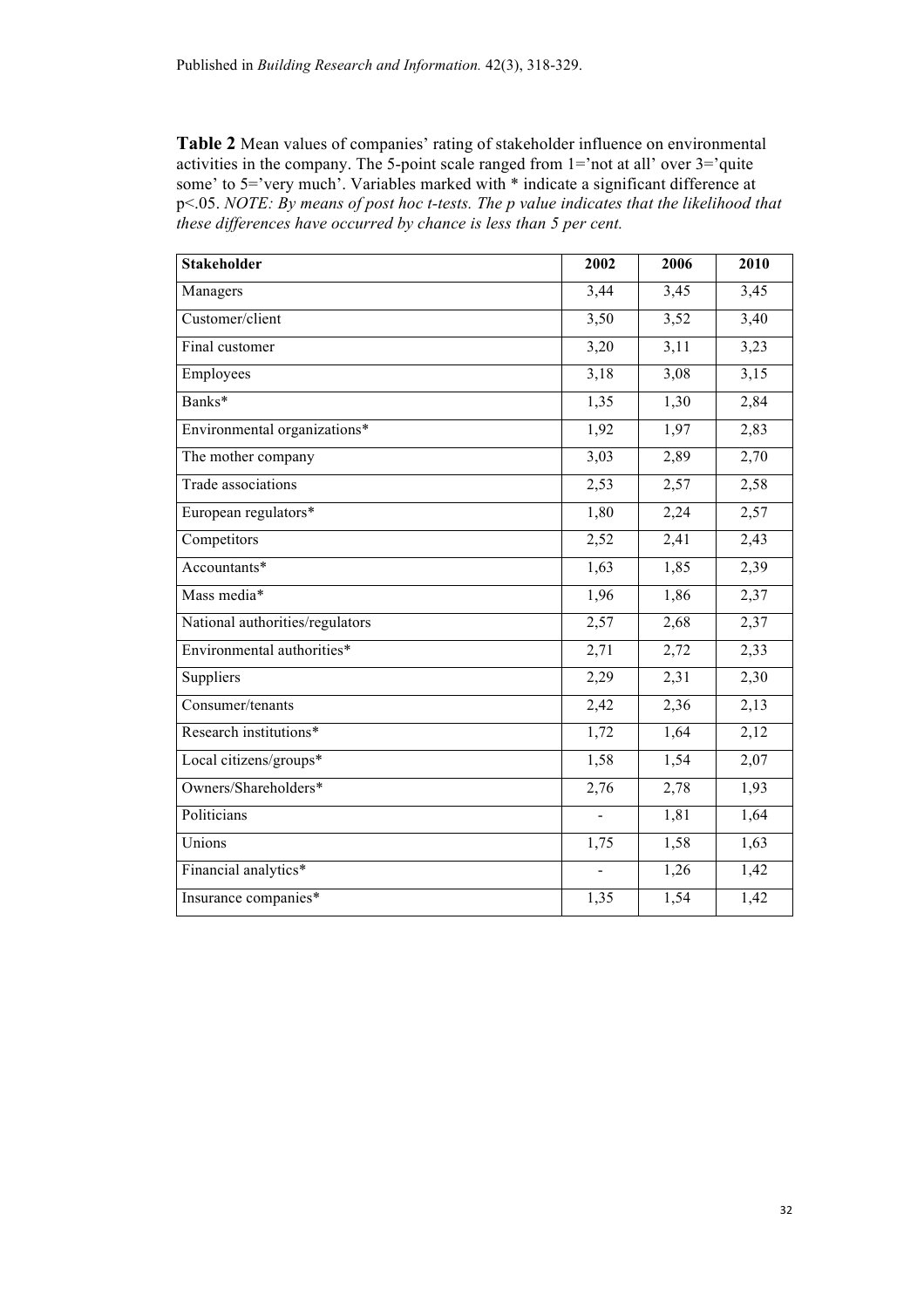**Table 2** Mean values of companies' rating of stakeholder influence on environmental activities in the company. The 5-point scale ranged from 1='not at all' over 3='quite some' to 5='very much'. Variables marked with \* indicate a significant difference at p<.05. *NOTE: By means of post hoc t-tests. The p value indicates that the likelihood that these differences have occurred by chance is less than 5 per cent.*

| <b>Stakeholder</b>              | 2002           | 2006 | 2010 |
|---------------------------------|----------------|------|------|
| Managers                        | 3,44           | 3,45 | 3,45 |
| Customer/client                 | 3,50           | 3,52 | 3,40 |
| Final customer                  | 3,20           | 3,11 | 3,23 |
| Employees                       | 3,18           | 3,08 | 3,15 |
| Banks*                          | 1,35           | 1,30 | 2,84 |
| Environmental organizations*    | 1,92           | 1,97 | 2,83 |
| The mother company              | 3,03           | 2,89 | 2,70 |
| Trade associations              | 2,53           | 2,57 | 2,58 |
| European regulators*            | 1,80           | 2,24 | 2,57 |
| Competitors                     | 2,52           | 2,41 | 2,43 |
| Accountants*                    | 1,63           | 1,85 | 2,39 |
| Mass media*                     | 1,96           | 1,86 | 2,37 |
| National authorities/regulators | 2,57           | 2,68 | 2,37 |
| Environmental authorities*      | 2,71           | 2,72 | 2,33 |
| Suppliers                       | 2,29           | 2,31 | 2,30 |
| Consumer/tenants                | 2,42           | 2,36 | 2,13 |
| Research institutions*          | 1,72           | 1,64 | 2,12 |
| Local citizens/groups*          | 1,58           | 1,54 | 2,07 |
| Owners/Shareholders*            | 2,76           | 2,78 | 1,93 |
| Politicians                     | $\blacksquare$ | 1,81 | 1,64 |
| Unions                          | 1,75           | 1,58 | 1,63 |
| Financial analytics*            | $\overline{a}$ | 1,26 | 1,42 |
| Insurance companies*            | 1,35           | 1,54 | 1,42 |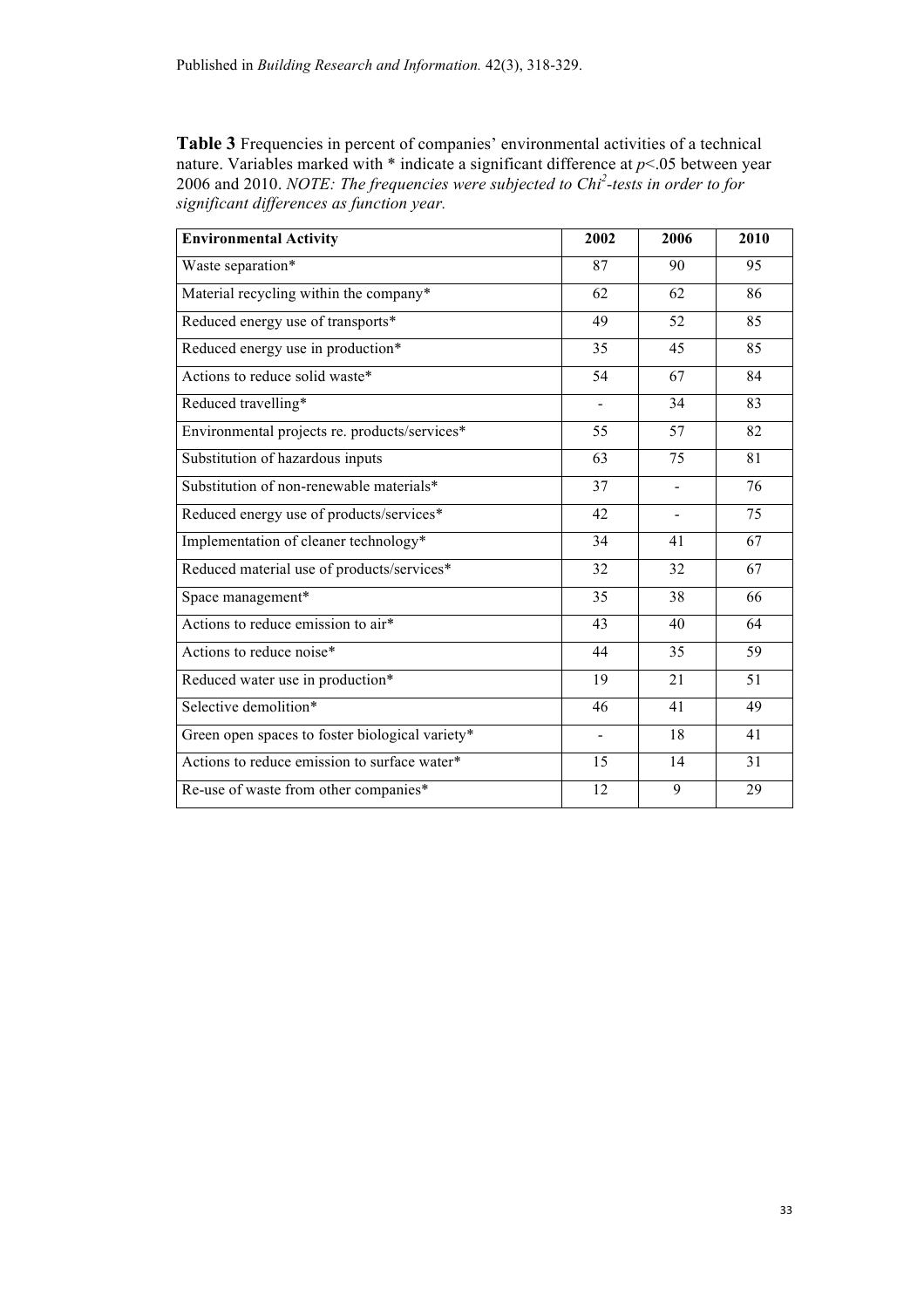Table 3 Frequencies in percent of companies' environmental activities of a technical nature. Variables marked with \* indicate a significant difference at *p*<.05 between year 2006 and 2010. *NOTE: The frequencies were subjected to Chi<sup>2</sup> -tests in order to for significant differences as function year.*

| <b>Environmental Activity</b>                   | 2002            | 2006            | 2010            |
|-------------------------------------------------|-----------------|-----------------|-----------------|
| Waste separation*                               | 87              | 90              | 95              |
| Material recycling within the company*          | 62              | 62              | 86              |
| Reduced energy use of transports*               | 49              | 52              | 85              |
| Reduced energy use in production*               | 35              | 45              | 85              |
| Actions to reduce solid waste*                  | 54              | 67              | 84              |
| Reduced travelling*                             | $\overline{a}$  | 34              | 83              |
| Environmental projects re. products/services*   | 55              | 57              | 82              |
| Substitution of hazardous inputs                | 63              | 75              | 81              |
| Substitution of non-renewable materials*        | 37              | ÷,              | 76              |
| Reduced energy use of products/services*        | 42              |                 | 75              |
| Implementation of cleaner technology*           | 34              | 41              | 67              |
| Reduced material use of products/services*      | 32              | 32              | 67              |
| Space management*                               | 35              | 38              | 66              |
| Actions to reduce emission to air*              | 43              | 40              | 64              |
| Actions to reduce noise*                        | 44              | 35              | 59              |
| Reduced water use in production*                | $\overline{19}$ | $\overline{21}$ | $\overline{51}$ |
| Selective demolition*                           | 46              | 41              | 49              |
| Green open spaces to foster biological variety* | $\overline{a}$  | 18              | 41              |
| Actions to reduce emission to surface water*    | 15              | 14              | 31              |
| Re-use of waste from other companies*           | 12              | 9               | 29              |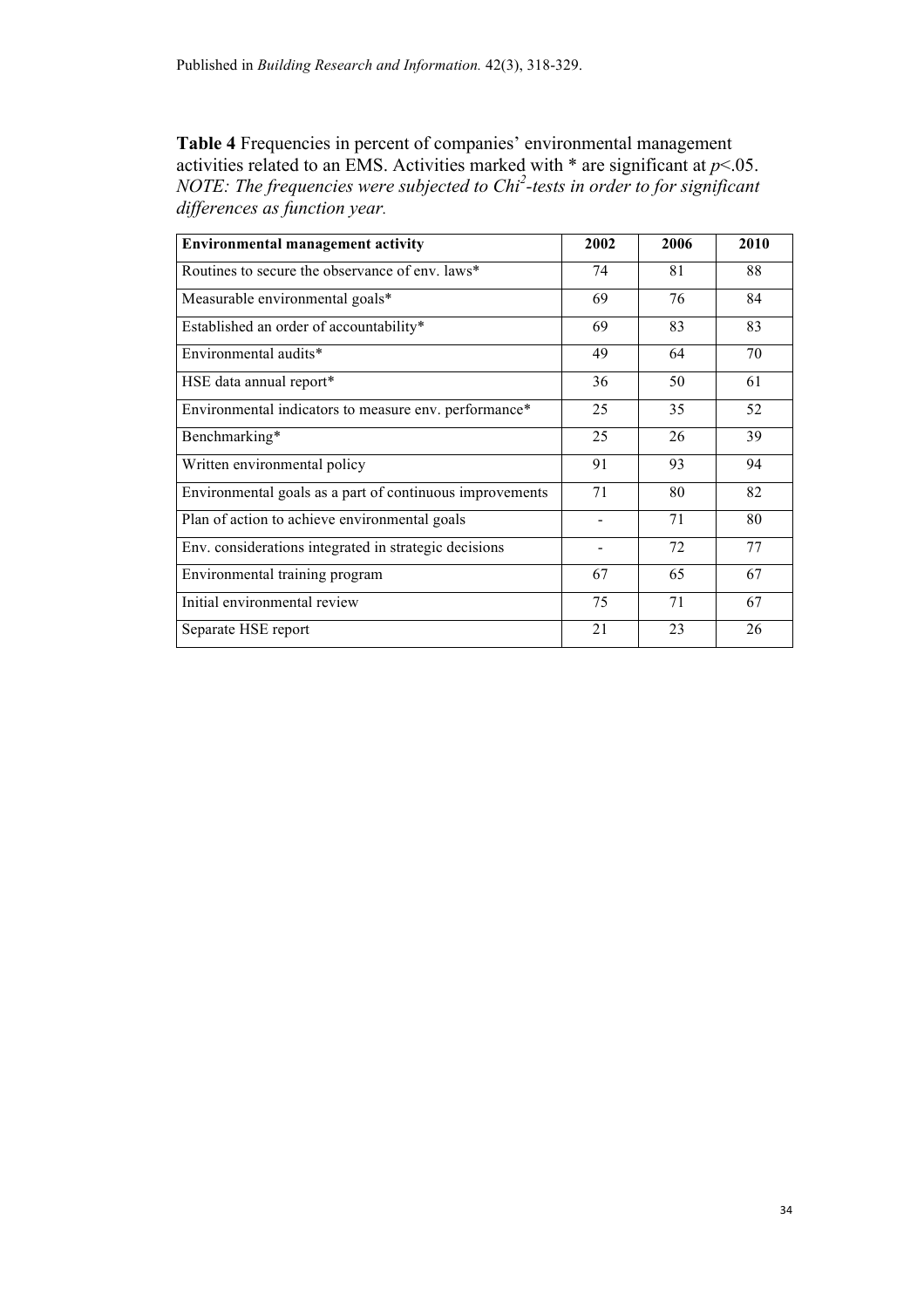**Table 4** Frequencies in percent of companies' environmental management activities related to an EMS. Activities marked with  $*$  are significant at  $p$ <.05. *NOTE: The frequencies were subjected to Chi<sup>2</sup> -tests in order to for significant differences as function year.*

| <b>Environmental management activity</b>                 | 2002 | 2006 | 2010 |
|----------------------------------------------------------|------|------|------|
| Routines to secure the observance of env. laws*          | 74   | 81   | 88   |
| Measurable environmental goals*                          | 69   | 76   | 84   |
| Established an order of accountability*                  | 69   | 83   | 83   |
| Environmental audits*                                    | 49   | 64   | 70   |
| HSE data annual report*                                  | 36   | 50   | 61   |
| Environmental indicators to measure env. performance*    | 25   | 35   | 52   |
| Benchmarking*                                            | 25   | 26   | 39   |
| Written environmental policy                             | 91   | 93   | 94   |
| Environmental goals as a part of continuous improvements | 71   | 80   | 82   |
| Plan of action to achieve environmental goals            |      | 71   | 80   |
| Env. considerations integrated in strategic decisions    |      | 72   | 77   |
| Environmental training program                           | 67   | 65   | 67   |
| Initial environmental review                             | 75   | 71   | 67   |
| Separate HSE report                                      | 21   | 23   | 26   |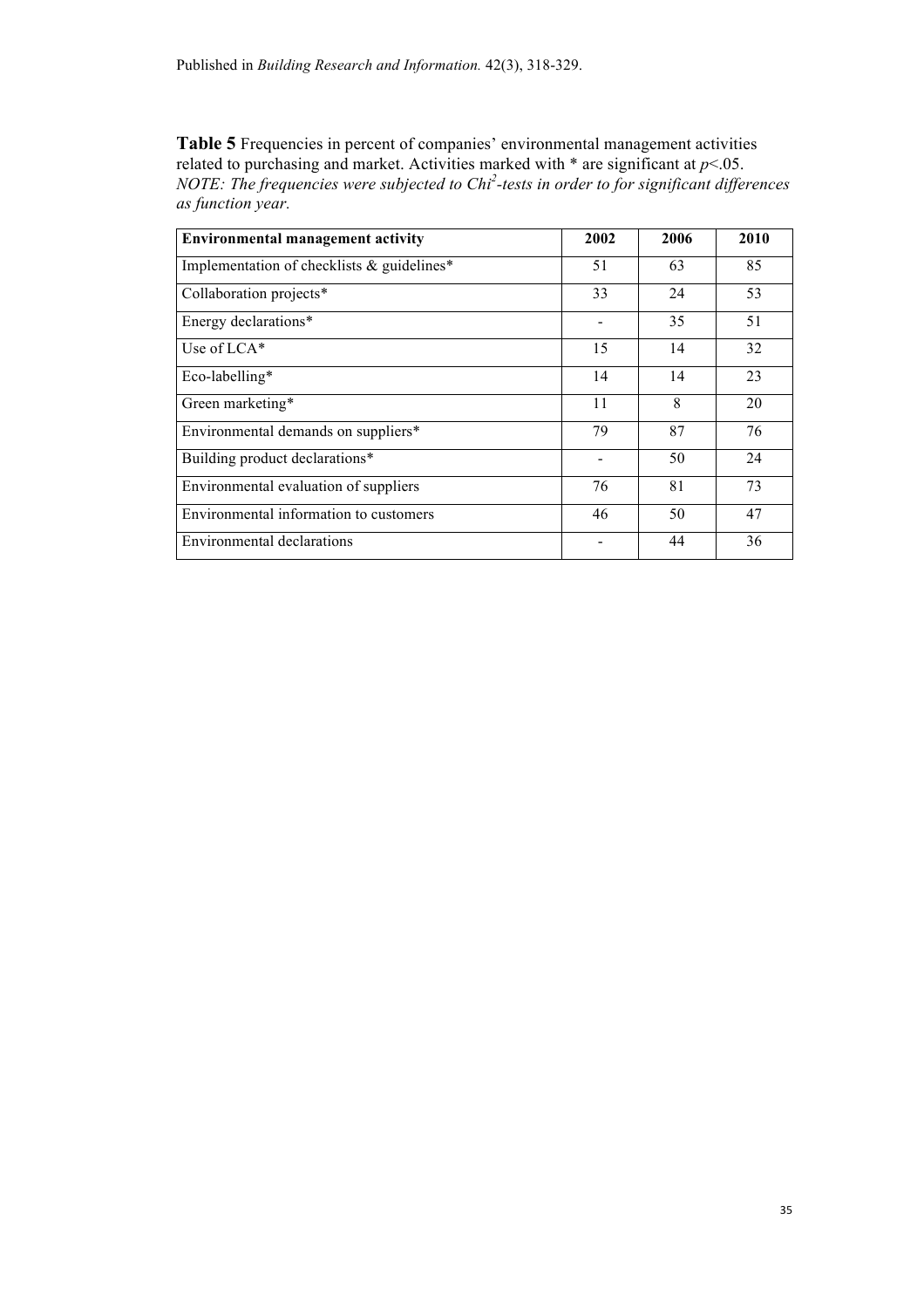Table 5 Frequencies in percent of companies' environmental management activities related to purchasing and market. Activities marked with \* are significant at *p*<.05. *NOTE: The frequencies were subjected to Chi<sup>2</sup> -tests in order to for significant differences as function year.*

| <b>Environmental management activity</b>   | 2002 | 2006 | 2010 |
|--------------------------------------------|------|------|------|
| Implementation of checklists & guidelines* | 51   | 63   | 85   |
| Collaboration projects*                    | 33   | 24   | 53   |
| Energy declarations*                       |      | 35   | 51   |
| Use of LCA*                                | 15   | 14   | 32   |
| Eco-labelling*                             | 14   | 14   | 23   |
| Green marketing*                           | 11   | 8    | 20   |
| Environmental demands on suppliers*        | 79   | 87   | 76   |
| Building product declarations*             |      | 50   | 24   |
| Environmental evaluation of suppliers      | 76   | 81   | 73   |
| Environmental information to customers     | 46   | 50   | 47   |
| Environmental declarations                 |      | 44   | 36   |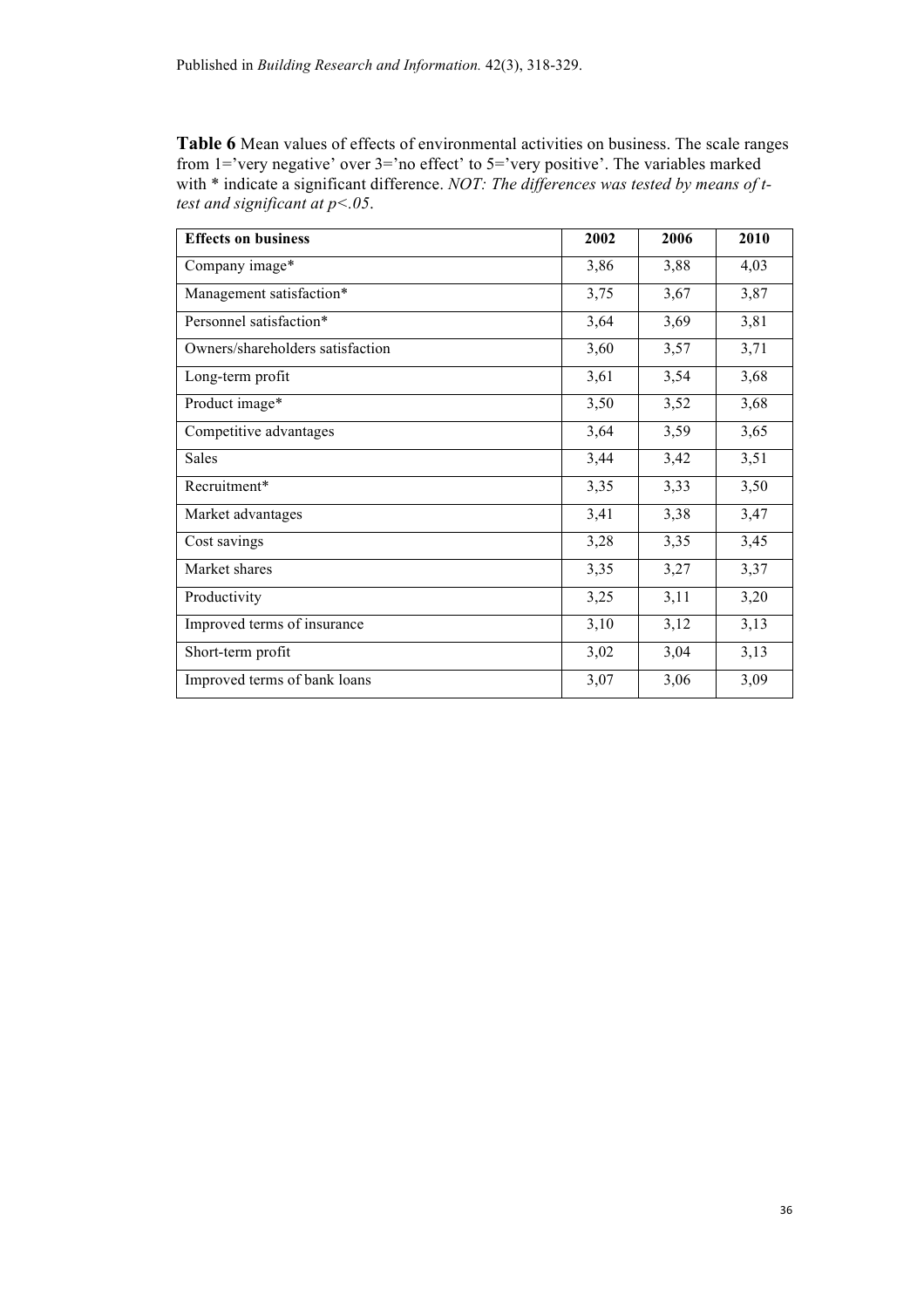**Table 6** Mean values of effects of environmental activities on business. The scale ranges from 1='very negative' over 3='no effect' to 5='very positive'. The variables marked with \* indicate a significant difference. *NOT: The differences was tested by means of ttest and significant at p<.05*.

| <b>Effects on business</b>       | 2002 | 2006 | 2010 |
|----------------------------------|------|------|------|
| Company image*                   | 3,86 | 3,88 | 4,03 |
| Management satisfaction*         | 3,75 | 3,67 | 3,87 |
| Personnel satisfaction*          | 3,64 | 3,69 | 3,81 |
| Owners/shareholders satisfaction | 3,60 | 3,57 | 3,71 |
| Long-term profit                 | 3,61 | 3,54 | 3,68 |
| Product image*                   | 3,50 | 3,52 | 3,68 |
| Competitive advantages           | 3,64 | 3,59 | 3,65 |
| Sales                            | 3,44 | 3,42 | 3,51 |
| Recruitment*                     | 3,35 | 3,33 | 3,50 |
| Market advantages                | 3,41 | 3,38 | 3,47 |
| Cost savings                     | 3,28 | 3,35 | 3,45 |
| Market shares                    | 3,35 | 3,27 | 3,37 |
| Productivity                     | 3,25 | 3,11 | 3,20 |
| Improved terms of insurance      | 3,10 | 3,12 | 3,13 |
| Short-term profit                | 3,02 | 3,04 | 3,13 |
| Improved terms of bank loans     | 3,07 | 3,06 | 3,09 |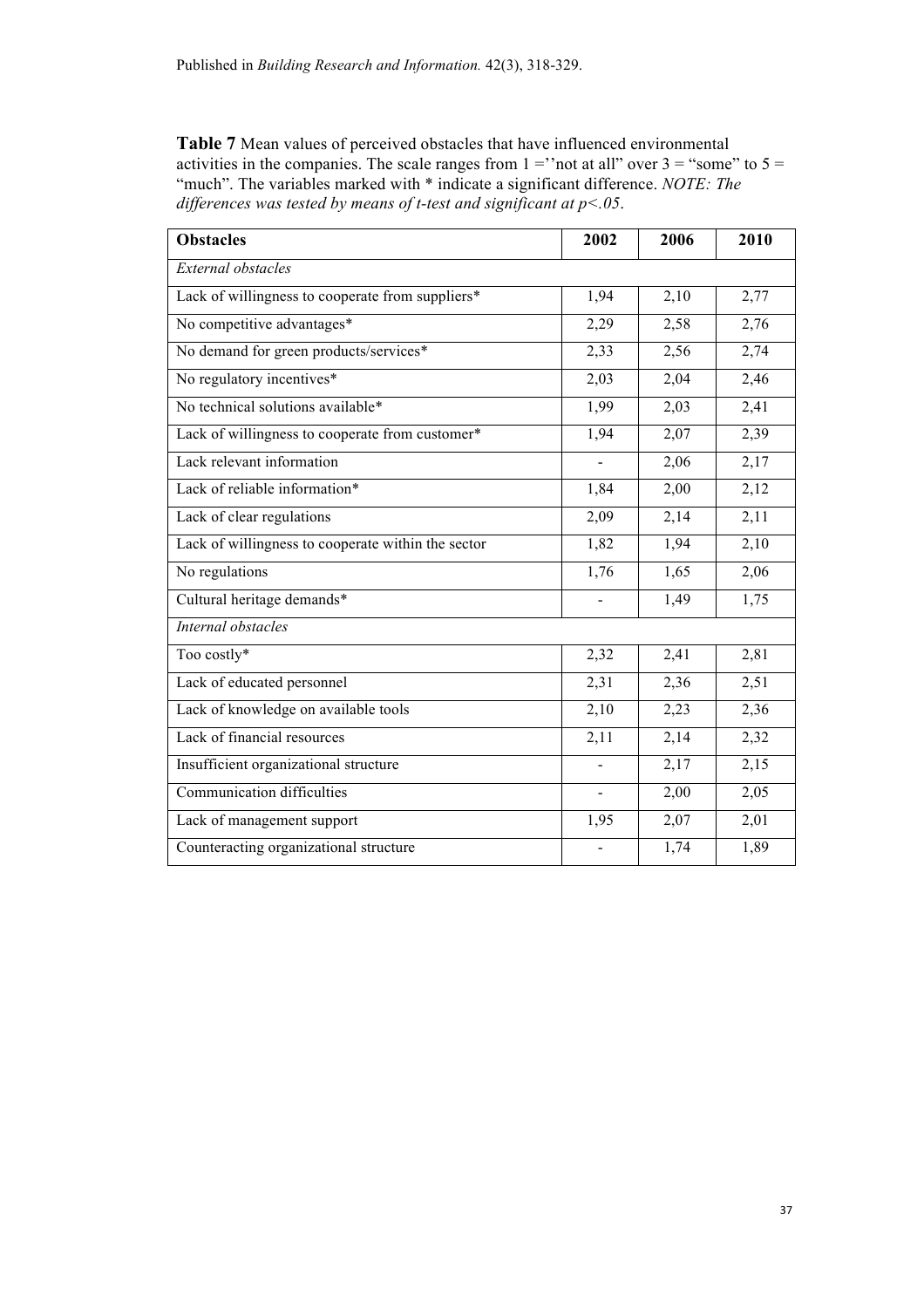**Table 7** Mean values of perceived obstacles that have influenced environmental activities in the companies. The scale ranges from  $1 =$ "not at all" over  $3 =$ "some" to  $5 =$ "much". The variables marked with \* indicate a significant difference. *NOTE: The differences was tested by means of t-test and significant at p<.05*.

| <b>Obstacles</b>                                   | 2002           | 2006 | 2010              |
|----------------------------------------------------|----------------|------|-------------------|
| External obstacles                                 |                |      |                   |
| Lack of willingness to cooperate from suppliers*   | 1,94           | 2,10 | 2,77              |
| No competitive advantages*                         | 2,29           | 2,58 | 2,76              |
| No demand for green products/services*             | 2,33           | 2,56 | 2,74              |
| No regulatory incentives*                          | 2,03           | 2,04 | 2,46              |
| No technical solutions available*                  | 1,99           | 2,03 | 2,41              |
| Lack of willingness to cooperate from customer*    | 1,94           | 2,07 | 2,39              |
| Lack relevant information                          |                | 2,06 | 2,17              |
| Lack of reliable information*                      | 1,84           | 2,00 | 2,12              |
| Lack of clear regulations                          | 2,09           | 2,14 | $\overline{2,11}$ |
| Lack of willingness to cooperate within the sector | 1,82           | 1,94 | 2,10              |
| No regulations                                     | 1,76           | 1,65 | 2,06              |
| Cultural heritage demands*                         |                | 1,49 | 1,75              |
| Internal obstacles                                 |                |      |                   |
| Too costly*                                        | 2,32           | 2,41 | 2,81              |
| Lack of educated personnel                         | 2,31           | 2,36 | 2,51              |
| Lack of knowledge on available tools               | 2,10           | 2,23 | 2,36              |
| Lack of financial resources                        | 2,11           | 2,14 | 2,32              |
| Insufficient organizational structure              |                | 2,17 | 2,15              |
| <b>Communication difficulties</b>                  | $\blacksquare$ | 2,00 | 2,05              |
| Lack of management support                         | 1,95           | 2,07 | 2,01              |
| Counteracting organizational structure             |                | 1,74 | 1,89              |